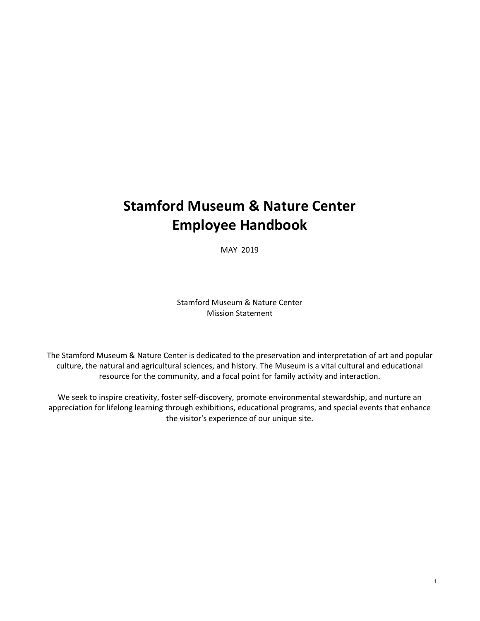# **Stamford Museum & Nature Center Employee Handbook**

MAY 2019

Stamford Museum & Nature Center Mission Statement

The Stamford Museum & Nature Center is dedicated to the preservation and interpretation of art and popular culture, the natural and agricultural sciences, and history. The Museum is a vital cultural and educational resource for the community, and a focal point for family activity and interaction.

We seek to inspire creativity, foster self-discovery, promote environmental stewardship, and nurture an appreciation for lifelong learning through exhibitions, educational programs, and special events that enhance the visitor's experience of our unique site.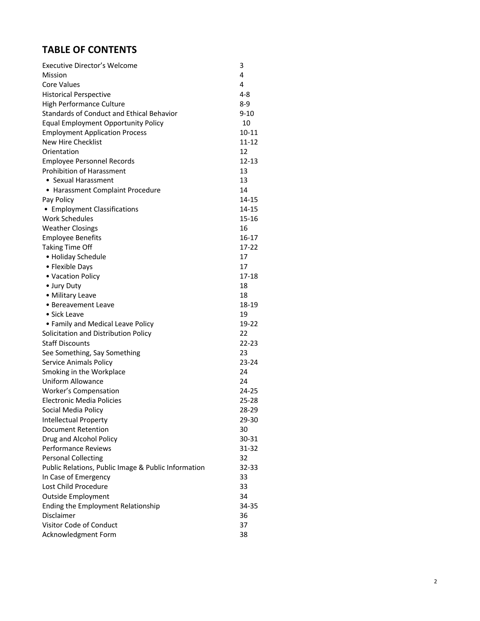# **TABLE OF CONTENTS**

| Executive Director's Welcome                        | з         |
|-----------------------------------------------------|-----------|
| Mission                                             | 4         |
| Core Values                                         | 4         |
| <b>Historical Perspective</b>                       | 4-8       |
| High Performance Culture                            | 8-9       |
| Standards of Conduct and Ethical Behavior           | $9 - 10$  |
| <b>Equal Employment Opportunity Policy</b>          | 10        |
| <b>Employment Application Process</b>               | 10-11     |
| <b>New Hire Checklist</b>                           | $11 - 12$ |
| Orientation                                         | 12        |
| Employee Personnel Records                          | $12 - 13$ |
| <b>Prohibition of Harassment</b>                    | 13        |
| • Sexual Harassment                                 | 13        |
| • Harassment Complaint Procedure                    | 14        |
| Pay Policy                                          | 14-15     |
| • Employment Classifications                        | 14-15     |
| <b>Work Schedules</b>                               | $15 - 16$ |
| <b>Weather Closings</b>                             | 16        |
| <b>Employee Benefits</b>                            | $16 - 17$ |
| <b>Taking Time Off</b>                              | $17 - 22$ |
| • Holiday Schedule                                  | 17        |
| • Flexible Days                                     | 17        |
| • Vacation Policy                                   | 17-18     |
| • Jury Duty                                         | 18        |
| • Military Leave                                    | 18        |
| • Bereavement Leave                                 | 18-19     |
| • Sick Leave                                        | 19        |
| • Family and Medical Leave Policy                   | 19-22     |
| Solicitation and Distribution Policy                | 22        |
| <b>Staff Discounts</b>                              | 22-23     |
| See Something, Say Something                        | 23        |
| <b>Service Animals Policy</b>                       | $23 - 24$ |
| Smoking in the Workplace                            | 24        |
| Uniform Allowance                                   | 24        |
| <b>Worker's Compensation</b>                        | 24-25     |
| <b>Electronic Media Policies</b>                    | $25 - 28$ |
| Social Media Policy                                 | 28-29     |
| Intellectual Property                               | 29-30     |
| <b>Document Retention</b>                           | 30        |
| Drug and Alcohol Policy                             | 30-31     |
| <b>Performance Reviews</b>                          | 31-32     |
| <b>Personal Collecting</b>                          | 32        |
| Public Relations, Public Image & Public Information | 32-33     |
| In Case of Emergency                                | 33        |
| Lost Child Procedure                                | 33        |
| <b>Outside Employment</b>                           | 34        |
| Ending the Employment Relationship                  | 34-35     |
| Disclaimer                                          | 36        |
| Visitor Code of Conduct                             | 37        |
| Acknowledgment Form                                 | 38        |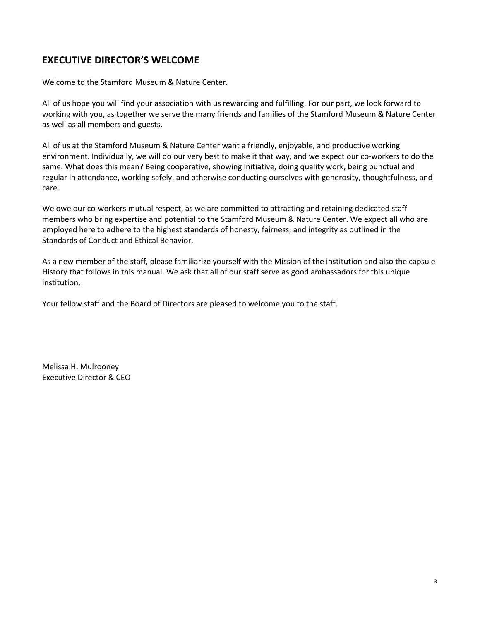# **EXECUTIVE DIRECTOR'S WELCOME**

Welcome to the Stamford Museum & Nature Center.

All of us hope you will find your association with us rewarding and fulfilling. For our part, we look forward to working with you, as together we serve the many friends and families of the Stamford Museum & Nature Center as well as all members and guests.

All of us at the Stamford Museum & Nature Center want a friendly, enjoyable, and productive working environment. Individually, we will do our very best to make it that way, and we expect our co-workers to do the same. What does this mean? Being cooperative, showing initiative, doing quality work, being punctual and regular in attendance, working safely, and otherwise conducting ourselves with generosity, thoughtfulness, and care.

We owe our co-workers mutual respect, as we are committed to attracting and retaining dedicated staff members who bring expertise and potential to the Stamford Museum & Nature Center. We expect all who are employed here to adhere to the highest standards of honesty, fairness, and integrity as outlined in the Standards of Conduct and Ethical Behavior.

As a new member of the staff, please familiarize yourself with the Mission of the institution and also the capsule History that follows in this manual. We ask that all of our staff serve as good ambassadors for this unique institution.

Your fellow staff and the Board of Directors are pleased to welcome you to the staff.

Melissa H. Mulrooney Executive Director & CEO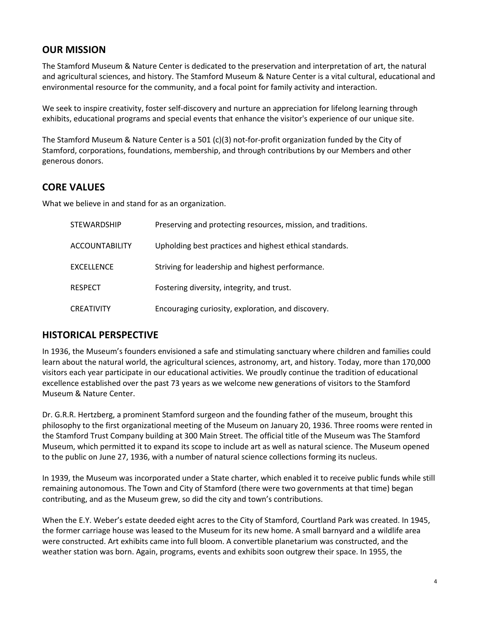### **OUR MISSION**

The Stamford Museum & Nature Center is dedicated to the preservation and interpretation of art, the natural and agricultural sciences, and history. The Stamford Museum & Nature Center is a vital cultural, educational and environmental resource for the community, and a focal point for family activity and interaction.

We seek to inspire creativity, foster self-discovery and nurture an appreciation for lifelong learning through exhibits, educational programs and special events that enhance the visitor's experience of our unique site.

The Stamford Museum & Nature Center is a 501 (c)(3) not-for-profit organization funded by the City of Stamford, corporations, foundations, membership, and through contributions by our Members and other generous donors.

### **CORE VALUES**

What we believe in and stand for as an organization.

| STEWARDSHIP           | Preserving and protecting resources, mission, and traditions. |
|-----------------------|---------------------------------------------------------------|
| <b>ACCOUNTABILITY</b> | Upholding best practices and highest ethical standards.       |
| <b>EXCELLENCE</b>     | Striving for leadership and highest performance.              |
| <b>RESPECT</b>        | Fostering diversity, integrity, and trust.                    |
| <b>CREATIVITY</b>     | Encouraging curiosity, exploration, and discovery.            |

### **HISTORICAL PERSPECTIVE**

In 1936, the Museum's founders envisioned a safe and stimulating sanctuary where children and families could learn about the natural world, the agricultural sciences, astronomy, art, and history. Today, more than 170,000 visitors each year participate in our educational activities. We proudly continue the tradition of educational excellence established over the past 73 years as we welcome new generations of visitors to the Stamford Museum & Nature Center.

Dr. G.R.R. Hertzberg, a prominent Stamford surgeon and the founding father of the museum, brought this philosophy to the first organizational meeting of the Museum on January 20, 1936. Three rooms were rented in the Stamford Trust Company building at 300 Main Street. The official title of the Museum was The Stamford Museum, which permitted it to expand its scope to include art as well as natural science. The Museum opened to the public on June 27, 1936, with a number of natural science collections forming its nucleus.

In 1939, the Museum was incorporated under a State charter, which enabled it to receive public funds while still remaining autonomous. The Town and City of Stamford (there were two governments at that time) began contributing, and as the Museum grew, so did the city and town's contributions.

When the E.Y. Weber's estate deeded eight acres to the City of Stamford, Courtland Park was created. In 1945, the former carriage house was leased to the Museum for its new home. A small barnyard and a wildlife area were constructed. Art exhibits came into full bloom. A convertible planetarium was constructed, and the weather station was born. Again, programs, events and exhibits soon outgrew their space. In 1955, the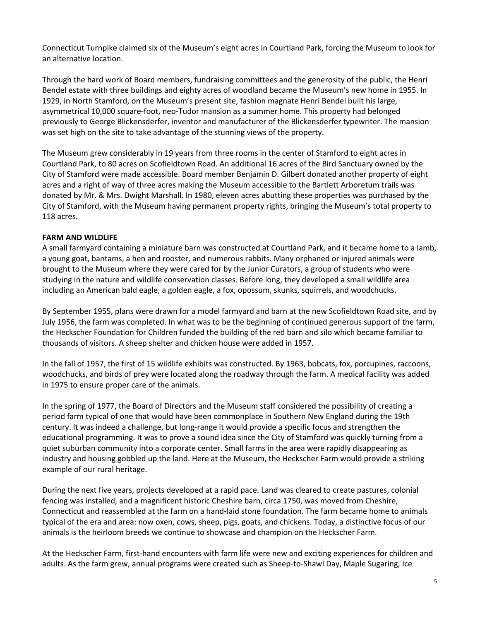Connecticut Turnpike claimed six of the Museum's eight acres in Courtland Park, forcing the Museum to look for an alternative location.

Through the hard work of Board members, fundraising committees and the generosity of the public, the Henri Bendel estate with three buildings and eighty acres of woodland became the Museum's new home in 1955. In 1929, in North Stamford, on the Museum's present site, fashion magnate Henri Bendel built his large, asymmetrical 10,000 square-foot, neo-Tudor mansion as a summer home. This property had belonged previously to George Blickensderfer, inventor and manufacturer of the Blickensderfer typewriter. The mansion was set high on the site to take advantage of the stunning views of the property.

The Museum grew considerably in 19 years from three rooms in the center of Stamford to eight acres in Courtland Park, to 80 acres on Scofieldtown Road. An additional 16 acres of the Bird Sanctuary owned by the City of Stamford were made accessible. Board member Benjamin D. Gilbert donated another property of eight acres and a right of way of three acres making the Museum accessible to the Bartlett Arboretum trails was donated by Mr. & Mrs. Dwight Marshall. In 1980, eleven acres abutting these properties was purchased by the City of Stamford, with the Museum having permanent property rights, bringing the Museum's total property to 118 acres.

### **FARM AND WILDLIFE**

A small farmyard containing a miniature barn was constructed at Courtland Park, and it became home to a lamb, a young goat, bantams, a hen and rooster, and numerous rabbits. Many orphaned or injured animals were brought to the Museum where they were cared for by the Junior Curators, a group of students who were studying in the nature and wildlife conservation classes. Before long, they developed a small wildlife area including an American bald eagle, a golden eagle, a fox, opossum, skunks, squirrels, and woodchucks.

By September 1955, plans were drawn for a model farmyard and barn at the new Scofieldtown Road site, and by July 1956, the farm was completed. In what was to be the beginning of continued generous support of the farm, the Heckscher Foundation for Children funded the building of the red barn and silo which became familiar to thousands of visitors. A sheep shelter and chicken house were added in 1957.

In the fall of 1957, the first of 15 wildlife exhibits was constructed. By 1963, bobcats, fox, porcupines, raccoons, woodchucks, and birds of prey were located along the roadway through the farm. A medical facility was added in 1975 to ensure proper care of the animals.

In the spring of 1977, the Board of Directors and the Museum staff considered the possibility of creating a period farm typical of one that would have been commonplace in Southern New England during the 19th century. It was indeed a challenge, but long-range it would provide a specific focus and strengthen the educational programming. It was to prove a sound idea since the City of Stamford was quickly turning from a quiet suburban community into a corporate center. Small farms in the area were rapidly disappearing as industry and housing gobbled up the land. Here at the Museum, the Heckscher Farm would provide a striking example of our rural heritage.

During the next five years, projects developed at a rapid pace. Land was cleared to create pastures, colonial fencing was installed, and a magnificent historic Cheshire barn, circa 1750, was moved from Cheshire, Connecticut and reassembled at the farm on a hand-laid stone foundation. The farm became home to animals typical of the era and area: now oxen, cows, sheep, pigs, goats, and chickens. Today, a distinctive focus of our animals is the heirloom breeds we continue to showcase and champion on the Heckscher Farm.

At the Heckscher Farm, first-hand encounters with farm life were new and exciting experiences for children and adults. As the farm grew, annual programs were created such as Sheep-to-Shawl Day, Maple Sugaring, Ice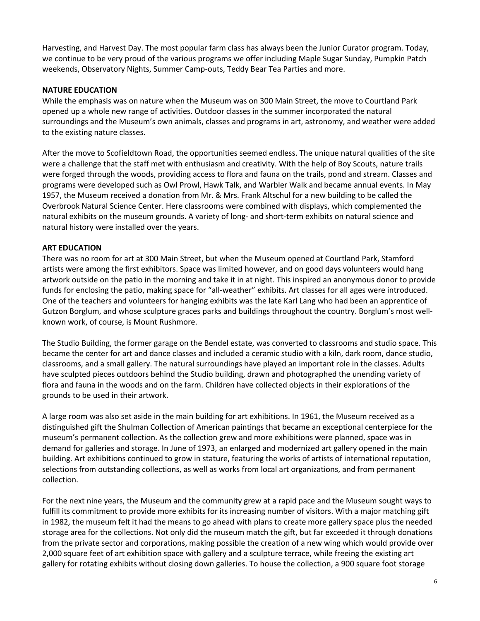Harvesting, and Harvest Day. The most popular farm class has always been the Junior Curator program. Today, we continue to be very proud of the various programs we offer including Maple Sugar Sunday, Pumpkin Patch weekends, Observatory Nights, Summer Camp-outs, Teddy Bear Tea Parties and more.

#### **NATURE EDUCATION**

While the emphasis was on nature when the Museum was on 300 Main Street, the move to Courtland Park opened up a whole new range of activities. Outdoor classes in the summer incorporated the natural surroundings and the Museum's own animals, classes and programs in art, astronomy, and weather were added to the existing nature classes.

After the move to Scofieldtown Road, the opportunities seemed endless. The unique natural qualities of the site were a challenge that the staff met with enthusiasm and creativity. With the help of Boy Scouts, nature trails were forged through the woods, providing access to flora and fauna on the trails, pond and stream. Classes and programs were developed such as Owl Prowl, Hawk Talk, and Warbler Walk and became annual events. In May 1957, the Museum received a donation from Mr. & Mrs. Frank Altschul for a new building to be called the Overbrook Natural Science Center. Here classrooms were combined with displays, which complemented the natural exhibits on the museum grounds. A variety of long- and short-term exhibits on natural science and natural history were installed over the years.

### **ART EDUCATION**

There was no room for art at 300 Main Street, but when the Museum opened at Courtland Park, Stamford artists were among the first exhibitors. Space was limited however, and on good days volunteers would hang artwork outside on the patio in the morning and take it in at night. This inspired an anonymous donor to provide funds for enclosing the patio, making space for "all-weather" exhibits. Art classes for all ages were introduced. One of the teachers and volunteers for hanging exhibits was the late Karl Lang who had been an apprentice of Gutzon Borglum, and whose sculpture graces parks and buildings throughout the country. Borglum's most wellknown work, of course, is Mount Rushmore.

The Studio Building, the former garage on the Bendel estate, was converted to classrooms and studio space. This became the center for art and dance classes and included a ceramic studio with a kiln, dark room, dance studio, classrooms, and a small gallery. The natural surroundings have played an important role in the classes. Adults have sculpted pieces outdoors behind the Studio building, drawn and photographed the unending variety of flora and fauna in the woods and on the farm. Children have collected objects in their explorations of the grounds to be used in their artwork.

A large room was also set aside in the main building for art exhibitions. In 1961, the Museum received as a distinguished gift the Shulman Collection of American paintings that became an exceptional centerpiece for the museum's permanent collection. As the collection grew and more exhibitions were planned, space was in demand for galleries and storage. In June of 1973, an enlarged and modernized art gallery opened in the main building. Art exhibitions continued to grow in stature, featuring the works of artists of international reputation, selections from outstanding collections, as well as works from local art organizations, and from permanent collection.

For the next nine years, the Museum and the community grew at a rapid pace and the Museum sought ways to fulfill its commitment to provide more exhibits for its increasing number of visitors. With a major matching gift in 1982, the museum felt it had the means to go ahead with plans to create more gallery space plus the needed storage area for the collections. Not only did the museum match the gift, but far exceeded it through donations from the private sector and corporations, making possible the creation of a new wing which would provide over 2,000 square feet of art exhibition space with gallery and a sculpture terrace, while freeing the existing art gallery for rotating exhibits without closing down galleries. To house the collection, a 900 square foot storage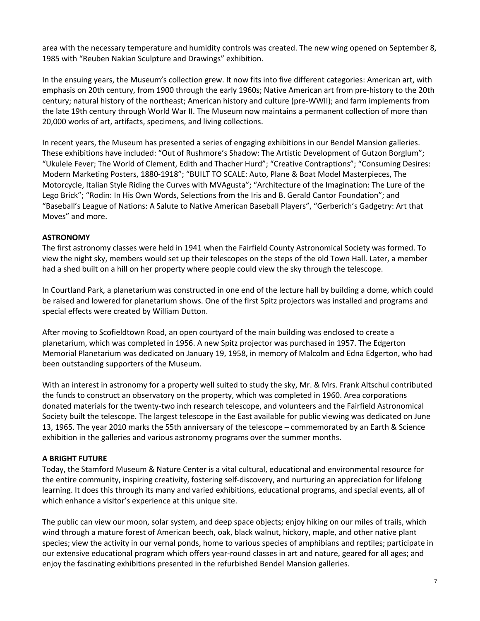area with the necessary temperature and humidity controls was created. The new wing opened on September 8, 1985 with "Reuben Nakian Sculpture and Drawings" exhibition.

In the ensuing years, the Museum's collection grew. It now fits into five different categories: American art, with emphasis on 20th century, from 1900 through the early 1960s; Native American art from pre-history to the 20th century; natural history of the northeast; American history and culture (pre-WWII); and farm implements from the late 19th century through World War II. The Museum now maintains a permanent collection of more than 20,000 works of art, artifacts, specimens, and living collections.

In recent years, the Museum has presented a series of engaging exhibitions in our Bendel Mansion galleries. These exhibitions have included: "Out of Rushmore's Shadow: The Artistic Development of Gutzon Borglum"; "Ukulele Fever; The World of Clement, Edith and Thacher Hurd"; "Creative Contraptions"; "Consuming Desires: Modern Marketing Posters, 1880-1918"; "BUILT TO SCALE: Auto, Plane & Boat Model Masterpieces, The Motorcycle, Italian Style Riding the Curves with MVAgusta"; "Architecture of the Imagination: The Lure of the Lego Brick"; "Rodin: In His Own Words, Selections from the Iris and B. Gerald Cantor Foundation"; and "Baseball's League of Nations: A Salute to Native American Baseball Players", "Gerberich's Gadgetry: Art that Moves" and more.

### **ASTRONOMY**

The first astronomy classes were held in 1941 when the Fairfield County Astronomical Society was formed. To view the night sky, members would set up their telescopes on the steps of the old Town Hall. Later, a member had a shed built on a hill on her property where people could view the sky through the telescope.

In Courtland Park, a planetarium was constructed in one end of the lecture hall by building a dome, which could be raised and lowered for planetarium shows. One of the first Spitz projectors was installed and programs and special effects were created by William Dutton.

After moving to Scofieldtown Road, an open courtyard of the main building was enclosed to create a planetarium, which was completed in 1956. A new Spitz projector was purchased in 1957. The Edgerton Memorial Planetarium was dedicated on January 19, 1958, in memory of Malcolm and Edna Edgerton, who had been outstanding supporters of the Museum.

With an interest in astronomy for a property well suited to study the sky, Mr. & Mrs. Frank Altschul contributed the funds to construct an observatory on the property, which was completed in 1960. Area corporations donated materials for the twenty-two inch research telescope, and volunteers and the Fairfield Astronomical Society built the telescope. The largest telescope in the East available for public viewing was dedicated on June 13, 1965. The year 2010 marks the 55th anniversary of the telescope – commemorated by an Earth & Science exhibition in the galleries and various astronomy programs over the summer months.

#### **A BRIGHT FUTURE**

Today, the Stamford Museum & Nature Center is a vital cultural, educational and environmental resource for the entire community, inspiring creativity, fostering self-discovery, and nurturing an appreciation for lifelong learning. It does this through its many and varied exhibitions, educational programs, and special events, all of which enhance a visitor's experience at this unique site.

The public can view our moon, solar system, and deep space objects; enjoy hiking on our miles of trails, which wind through a mature forest of American beech, oak, black walnut, hickory, maple, and other native plant species; view the activity in our vernal ponds, home to various species of amphibians and reptiles; participate in our extensive educational program which offers year-round classes in art and nature, geared for all ages; and enjoy the fascinating exhibitions presented in the refurbished Bendel Mansion galleries.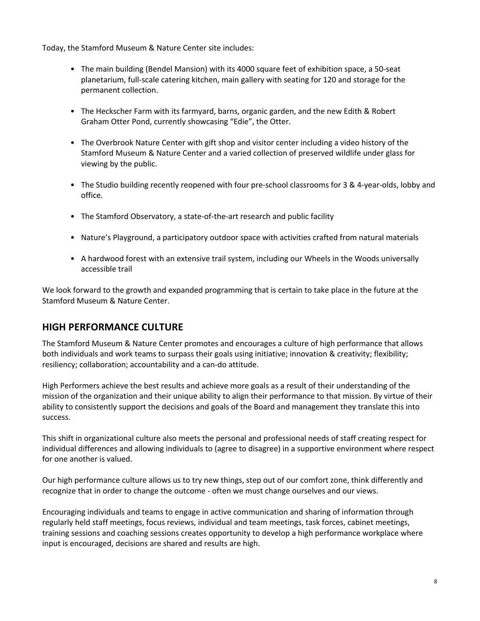Today, the Stamford Museum & Nature Center site includes:

- The main building (Bendel Mansion) with its 4000 square feet of exhibition space, a 50-seat planetarium, full-scale catering kitchen, main gallery with seating for 120 and storage for the permanent collection.
- The Heckscher Farm with its farmyard, barns, organic garden, and the new Edith & Robert Graham Otter Pond, currently showcasing "Edie", the Otter.
- The Overbrook Nature Center with gift shop and visitor center including a video history of the Stamford Museum & Nature Center and a varied collection of preserved wildlife under glass for viewing by the public.
- The Studio building recently reopened with four pre-school classrooms for 3 & 4-year-olds, lobby and office.
- The Stamford Observatory, a state-of-the-art research and public facility
- Nature's Playground, a participatory outdoor space with activities crafted from natural materials
- A hardwood forest with an extensive trail system, including our Wheels in the Woods universally accessible trail

We look forward to the growth and expanded programming that is certain to take place in the future at the Stamford Museum & Nature Center.

### **HIGH PERFORMANCE CULTURE**

The Stamford Museum & Nature Center promotes and encourages a culture of high performance that allows both individuals and work teams to surpass their goals using initiative; innovation & creativity; flexibility; resiliency; collaboration; accountability and a can-do attitude.

High Performers achieve the best results and achieve more goals as a result of their understanding of the mission of the organization and their unique ability to align their performance to that mission. By virtue of their ability to consistently support the decisions and goals of the Board and management they translate this into success.

This shift in organizational culture also meets the personal and professional needs of staff creating respect for individual differences and allowing individuals to (agree to disagree) in a supportive environment where respect for one another is valued.

Our high performance culture allows us to try new things, step out of our comfort zone, think differently and recognize that in order to change the outcome - often we must change ourselves and our views.

Encouraging individuals and teams to engage in active communication and sharing of information through regularly held staff meetings, focus reviews, individual and team meetings, task forces, cabinet meetings, training sessions and coaching sessions creates opportunity to develop a high performance workplace where input is encouraged, decisions are shared and results are high.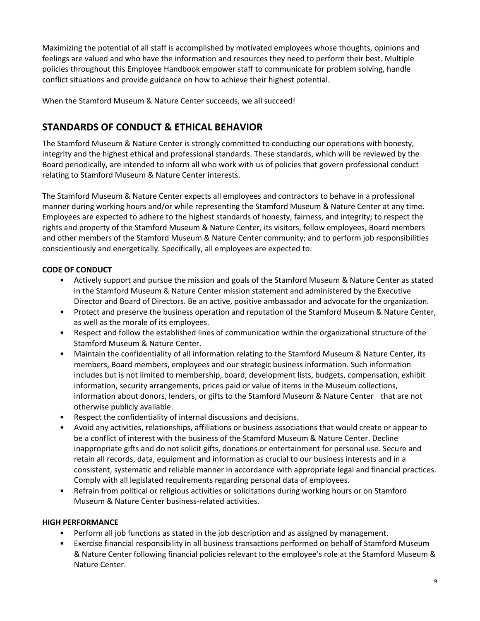Maximizing the potential of all staff is accomplished by motivated employees whose thoughts, opinions and feelings are valued and who have the information and resources they need to perform their best. Multiple policies throughout this Employee Handbook empower staff to communicate for problem solving, handle conflict situations and provide guidance on how to achieve their highest potential.

When the Stamford Museum & Nature Center succeeds, we all succeed!

# **STANDARDS OF CONDUCT & ETHICAL BEHAVIOR**

The Stamford Museum & Nature Center is strongly committed to conducting our operations with honesty, integrity and the highest ethical and professional standards. These standards, which will be reviewed by the Board periodically, are intended to inform all who work with us of policies that govern professional conduct relating to Stamford Museum & Nature Center interests.

The Stamford Museum & Nature Center expects all employees and contractors to behave in a professional manner during working hours and/or while representing the Stamford Museum & Nature Center at any time. Employees are expected to adhere to the highest standards of honesty, fairness, and integrity; to respect the rights and property of the Stamford Museum & Nature Center, its visitors, fellow employees, Board members and other members of the Stamford Museum & Nature Center community; and to perform job responsibilities conscientiously and energetically. Specifically, all employees are expected to:

### **CODE OF CONDUCT**

- Actively support and pursue the mission and goals of the Stamford Museum & Nature Center as stated in the Stamford Museum & Nature Center mission statement and administered by the Executive Director and Board of Directors. Be an active, positive ambassador and advocate for the organization.
- Protect and preserve the business operation and reputation of the Stamford Museum & Nature Center, as well as the morale of its employees.
- Respect and follow the established lines of communication within the organizational structure of the Stamford Museum & Nature Center.
- Maintain the confidentiality of all information relating to the Stamford Museum & Nature Center, its members, Board members, employees and our strategic business information. Such information includes but is not limited to membership, board, development lists, budgets, compensation, exhibit information, security arrangements, prices paid or value of items in the Museum collections, information about donors, lenders, or gifts to the Stamford Museum & Nature Center that are not otherwise publicly available.
- Respect the confidentiality of internal discussions and decisions.
- Avoid any activities, relationships, affiliations or business associations that would create or appear to be a conflict of interest with the business of the Stamford Museum & Nature Center. Decline inappropriate gifts and do not solicit gifts, donations or entertainment for personal use. Secure and retain all records, data, equipment and information as crucial to our business interests and in a consistent, systematic and reliable manner in accordance with appropriate legal and financial practices. Comply with all legislated requirements regarding personal data of employees.
- Refrain from political or religious activities or solicitations during working hours or on Stamford Museum & Nature Center business-related activities.

### **HIGH PERFORMANCE**

- Perform all job functions as stated in the job description and as assigned by management.
- Exercise financial responsibility in all business transactions performed on behalf of Stamford Museum & Nature Center following financial policies relevant to the employee's role at the Stamford Museum & Nature Center.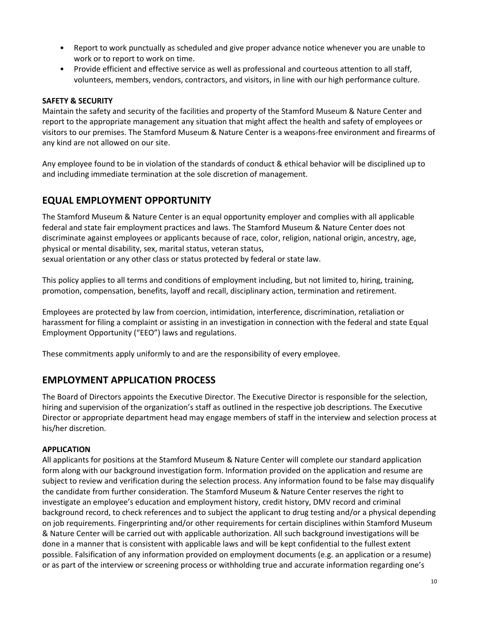- Report to work punctually as scheduled and give proper advance notice whenever you are unable to work or to report to work on time.
- Provide efficient and effective service as well as professional and courteous attention to all staff, volunteers, members, vendors, contractors, and visitors, in line with our high performance culture.

### **SAFETY & SECURITY**

Maintain the safety and security of the facilities and property of the Stamford Museum & Nature Center and report to the appropriate management any situation that might affect the health and safety of employees or visitors to our premises. The Stamford Museum & Nature Center is a weapons-free environment and firearms of any kind are not allowed on our site.

Any employee found to be in violation of the standards of conduct & ethical behavior will be disciplined up to and including immediate termination at the sole discretion of management.

### **EQUAL EMPLOYMENT OPPORTUNITY**

The Stamford Museum & Nature Center is an equal opportunity employer and complies with all applicable federal and state fair employment practices and laws. The Stamford Museum & Nature Center does not discriminate against employees or applicants because of race, color, religion, national origin, ancestry, age, physical or mental disability, sex, marital status, veteran status, sexual orientation or any other class or status protected by federal or state law.

This policy applies to all terms and conditions of employment including, but not limited to, hiring, training, promotion, compensation, benefits, layoff and recall, disciplinary action, termination and retirement.

Employees are protected by law from coercion, intimidation, interference, discrimination, retaliation or harassment for filing a complaint or assisting in an investigation in connection with the federal and state Equal Employment Opportunity ("EEO") laws and regulations.

These commitments apply uniformly to and are the responsibility of every employee.

### **EMPLOYMENT APPLICATION PROCESS**

The Board of Directors appoints the Executive Director. The Executive Director is responsible for the selection, hiring and supervision of the organization's staff as outlined in the respective job descriptions. The Executive Director or appropriate department head may engage members of staff in the interview and selection process at his/her discretion.

### **APPLICATION**

All applicants for positions at the Stamford Museum & Nature Center will complete our standard application form along with our background investigation form. Information provided on the application and resume are subject to review and verification during the selection process. Any information found to be false may disqualify the candidate from further consideration. The Stamford Museum & Nature Center reserves the right to investigate an employee's education and employment history, credit history, DMV record and criminal background record, to check references and to subject the applicant to drug testing and/or a physical depending on job requirements. Fingerprinting and/or other requirements for certain disciplines within Stamford Museum & Nature Center will be carried out with applicable authorization. All such background investigations will be done in a manner that is consistent with applicable laws and will be kept confidential to the fullest extent possible. Falsification of any information provided on employment documents (e.g. an application or a resume) or as part of the interview or screening process or withholding true and accurate information regarding one's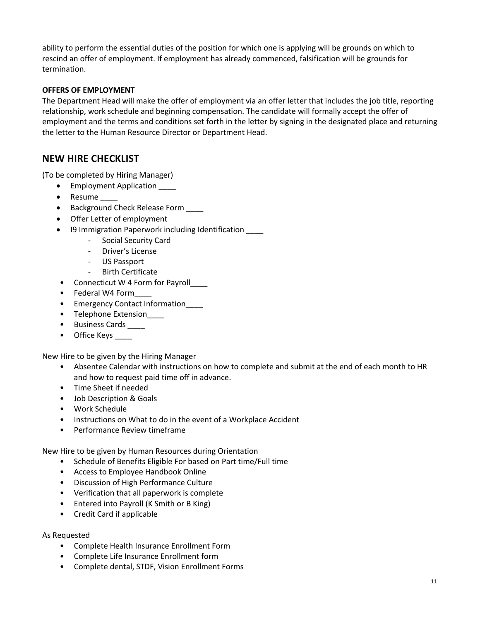ability to perform the essential duties of the position for which one is applying will be grounds on which to rescind an offer of employment. If employment has already commenced, falsification will be grounds for termination.

### **OFFERS OF EMPLOYMENT**

The Department Head will make the offer of employment via an offer letter that includes the job title, reporting relationship, work schedule and beginning compensation. The candidate will formally accept the offer of employment and the terms and conditions set forth in the letter by signing in the designated place and returning the letter to the Human Resource Director or Department Head.

### **NEW HIRE CHECKLIST**

(To be completed by Hiring Manager)

- Employment Application
- Resume
- Background Check Release Form
- Offer Letter of employment
- I9 Immigration Paperwork including Identification \_\_\_\_
	- Social Security Card
		- Driver's License
		- US Passport
	- Birth Certificate
- Connecticut W 4 Form for Payroll
- Federal W4 Form
- Emergency Contact Information
- Telephone Extension
- Business Cards \_\_\_\_
- Office Keys \_\_\_\_

New Hire to be given by the Hiring Manager

- Absentee Calendar with instructions on how to complete and submit at the end of each month to HR and how to request paid time off in advance.
- Time Sheet if needed
- Job Description & Goals
- Work Schedule
- Instructions on What to do in the event of a Workplace Accident
- Performance Review timeframe

New Hire to be given by Human Resources during Orientation

- Schedule of Benefits Eligible For based on Part time/Full time
- Access to Employee Handbook Online
- Discussion of High Performance Culture
- Verification that all paperwork is complete
- Entered into Payroll (K Smith or B King)
- Credit Card if applicable

#### As Requested

- Complete Health Insurance Enrollment Form
- Complete Life Insurance Enrollment form
- Complete dental, STDF, Vision Enrollment Forms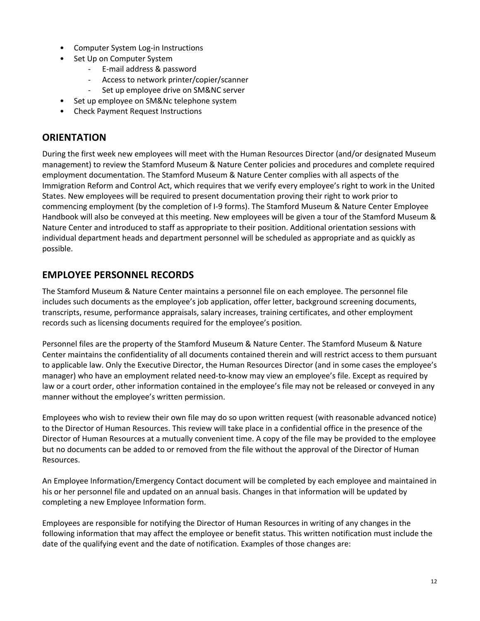- Computer System Log-in Instructions
- Set Up on Computer System
	- E-mail address & password
	- Access to network printer/copier/scanner
	- Set up employee drive on SM&NC server
- Set up employee on SM&Nc telephone system
- Check Payment Request Instructions

### **ORIENTATION**

During the first week new employees will meet with the Human Resources Director (and/or designated Museum management) to review the Stamford Museum & Nature Center policies and procedures and complete required employment documentation. The Stamford Museum & Nature Center complies with all aspects of the Immigration Reform and Control Act, which requires that we verify every employee's right to work in the United States. New employees will be required to present documentation proving their right to work prior to commencing employment (by the completion of I-9 forms). The Stamford Museum & Nature Center Employee Handbook will also be conveyed at this meeting. New employees will be given a tour of the Stamford Museum & Nature Center and introduced to staff as appropriate to their position. Additional orientation sessions with individual department heads and department personnel will be scheduled as appropriate and as quickly as possible.

### **EMPLOYEE PERSONNEL RECORDS**

The Stamford Museum & Nature Center maintains a personnel file on each employee. The personnel file includes such documents as the employee's job application, offer letter, background screening documents, transcripts, resume, performance appraisals, salary increases, training certificates, and other employment records such as licensing documents required for the employee's position.

Personnel files are the property of the Stamford Museum & Nature Center. The Stamford Museum & Nature Center maintains the confidentiality of all documents contained therein and will restrict access to them pursuant to applicable law. Only the Executive Director, the Human Resources Director (and in some cases the employee's manager) who have an employment related need-to-know may view an employee's file. Except as required by law or a court order, other information contained in the employee's file may not be released or conveyed in any manner without the employee's written permission.

Employees who wish to review their own file may do so upon written request (with reasonable advanced notice) to the Director of Human Resources. This review will take place in a confidential office in the presence of the Director of Human Resources at a mutually convenient time. A copy of the file may be provided to the employee but no documents can be added to or removed from the file without the approval of the Director of Human Resources.

An Employee Information/Emergency Contact document will be completed by each employee and maintained in his or her personnel file and updated on an annual basis. Changes in that information will be updated by completing a new Employee Information form.

Employees are responsible for notifying the Director of Human Resources in writing of any changes in the following information that may affect the employee or benefit status. This written notification must include the date of the qualifying event and the date of notification. Examples of those changes are: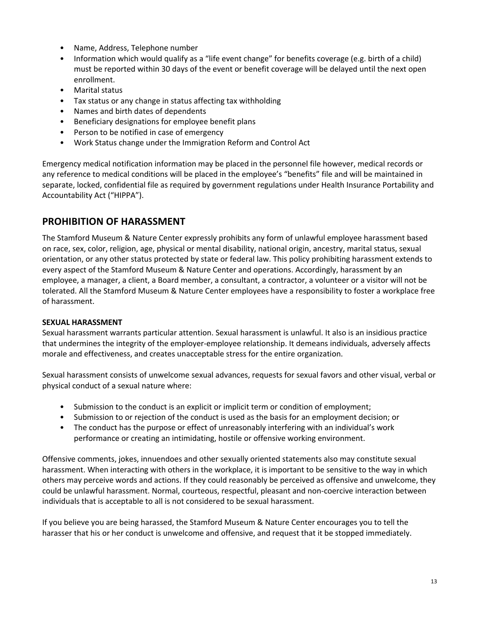- Name, Address, Telephone number
- Information which would qualify as a "life event change" for benefits coverage (e.g. birth of a child) must be reported within 30 days of the event or benefit coverage will be delayed until the next open enrollment.
- Marital status
- Tax status or any change in status affecting tax withholding
- Names and birth dates of dependents
- Beneficiary designations for employee benefit plans
- Person to be notified in case of emergency
- Work Status change under the Immigration Reform and Control Act

Emergency medical notification information may be placed in the personnel file however, medical records or any reference to medical conditions will be placed in the employee's "benefits" file and will be maintained in separate, locked, confidential file as required by government regulations under Health Insurance Portability and Accountability Act ("HIPPA").

# **PROHIBITION OF HARASSMENT**

The Stamford Museum & Nature Center expressly prohibits any form of unlawful employee harassment based on race, sex, color, religion, age, physical or mental disability, national origin, ancestry, marital status, sexual orientation, or any other status protected by state or federal law. This policy prohibiting harassment extends to every aspect of the Stamford Museum & Nature Center and operations. Accordingly, harassment by an employee, a manager, a client, a Board member, a consultant, a contractor, a volunteer or a visitor will not be tolerated. All the Stamford Museum & Nature Center employees have a responsibility to foster a workplace free of harassment.

### **SEXUAL HARASSMENT**

Sexual harassment warrants particular attention. Sexual harassment is unlawful. It also is an insidious practice that undermines the integrity of the employer-employee relationship. It demeans individuals, adversely affects morale and effectiveness, and creates unacceptable stress for the entire organization.

Sexual harassment consists of unwelcome sexual advances, requests for sexual favors and other visual, verbal or physical conduct of a sexual nature where:

- Submission to the conduct is an explicit or implicit term or condition of employment;
- Submission to or rejection of the conduct is used as the basis for an employment decision; or
- The conduct has the purpose or effect of unreasonably interfering with an individual's work performance or creating an intimidating, hostile or offensive working environment.

Offensive comments, jokes, innuendoes and other sexually oriented statements also may constitute sexual harassment. When interacting with others in the workplace, it is important to be sensitive to the way in which others may perceive words and actions. If they could reasonably be perceived as offensive and unwelcome, they could be unlawful harassment. Normal, courteous, respectful, pleasant and non-coercive interaction between individuals that is acceptable to all is not considered to be sexual harassment.

If you believe you are being harassed, the Stamford Museum & Nature Center encourages you to tell the harasser that his or her conduct is unwelcome and offensive, and request that it be stopped immediately.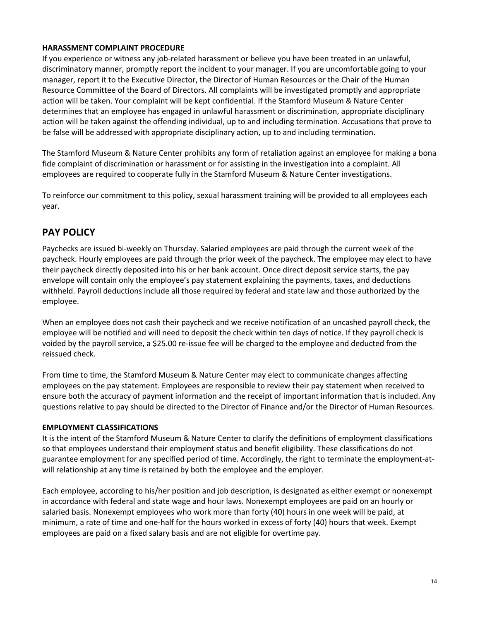### **HARASSMENT COMPLAINT PROCEDURE**

If you experience or witness any job-related harassment or believe you have been treated in an unlawful, discriminatory manner, promptly report the incident to your manager. If you are uncomfortable going to your manager, report it to the Executive Director, the Director of Human Resources or the Chair of the Human Resource Committee of the Board of Directors. All complaints will be investigated promptly and appropriate action will be taken. Your complaint will be kept confidential. If the Stamford Museum & Nature Center determines that an employee has engaged in unlawful harassment or discrimination, appropriate disciplinary action will be taken against the offending individual, up to and including termination. Accusations that prove to be false will be addressed with appropriate disciplinary action, up to and including termination.

The Stamford Museum & Nature Center prohibits any form of retaliation against an employee for making a bona fide complaint of discrimination or harassment or for assisting in the investigation into a complaint. All employees are required to cooperate fully in the Stamford Museum & Nature Center investigations.

To reinforce our commitment to this policy, sexual harassment training will be provided to all employees each year.

# **PAY POLICY**

Paychecks are issued bi-weekly on Thursday. Salaried employees are paid through the current week of the paycheck. Hourly employees are paid through the prior week of the paycheck. The employee may elect to have their paycheck directly deposited into his or her bank account. Once direct deposit service starts, the pay envelope will contain only the employee's pay statement explaining the payments, taxes, and deductions withheld. Payroll deductions include all those required by federal and state law and those authorized by the employee.

When an employee does not cash their paycheck and we receive notification of an uncashed payroll check, the employee will be notified and will need to deposit the check within ten days of notice. If they payroll check is voided by the payroll service, a \$25.00 re-issue fee will be charged to the employee and deducted from the reissued check.

From time to time, the Stamford Museum & Nature Center may elect to communicate changes affecting employees on the pay statement. Employees are responsible to review their pay statement when received to ensure both the accuracy of payment information and the receipt of important information that is included. Any questions relative to pay should be directed to the Director of Finance and/or the Director of Human Resources.

#### **EMPLOYMENT CLASSIFICATIONS**

It is the intent of the Stamford Museum & Nature Center to clarify the definitions of employment classifications so that employees understand their employment status and benefit eligibility. These classifications do not guarantee employment for any specified period of time. Accordingly, the right to terminate the employment-atwill relationship at any time is retained by both the employee and the employer.

Each employee, according to his/her position and job description, is designated as either exempt or nonexempt in accordance with federal and state wage and hour laws. Nonexempt employees are paid on an hourly or salaried basis. Nonexempt employees who work more than forty (40) hours in one week will be paid, at minimum, a rate of time and one-half for the hours worked in excess of forty (40) hours that week. Exempt employees are paid on a fixed salary basis and are not eligible for overtime pay.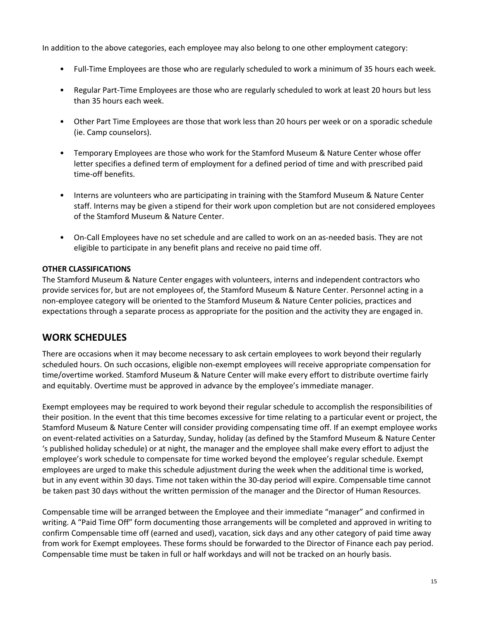In addition to the above categories, each employee may also belong to one other employment category:

- Full-Time Employees are those who are regularly scheduled to work a minimum of 35 hours each week.
- Regular Part-Time Employees are those who are regularly scheduled to work at least 20 hours but less than 35 hours each week.
- Other Part Time Employees are those that work less than 20 hours per week or on a sporadic schedule (ie. Camp counselors).
- Temporary Employees are those who work for the Stamford Museum & Nature Center whose offer letter specifies a defined term of employment for a defined period of time and with prescribed paid time-off benefits.
- Interns are volunteers who are participating in training with the Stamford Museum & Nature Center staff. Interns may be given a stipend for their work upon completion but are not considered employees of the Stamford Museum & Nature Center.
- On-Call Employees have no set schedule and are called to work on an as-needed basis. They are not eligible to participate in any benefit plans and receive no paid time off.

### **OTHER CLASSIFICATIONS**

The Stamford Museum & Nature Center engages with volunteers, interns and independent contractors who provide services for, but are not employees of, the Stamford Museum & Nature Center. Personnel acting in a non-employee category will be oriented to the Stamford Museum & Nature Center policies, practices and expectations through a separate process as appropriate for the position and the activity they are engaged in.

### **WORK SCHEDULES**

There are occasions when it may become necessary to ask certain employees to work beyond their regularly scheduled hours. On such occasions, eligible non-exempt employees will receive appropriate compensation for time/overtime worked. Stamford Museum & Nature Center will make every effort to distribute overtime fairly and equitably. Overtime must be approved in advance by the employee's immediate manager.

Exempt employees may be required to work beyond their regular schedule to accomplish the responsibilities of their position. In the event that this time becomes excessive for time relating to a particular event or project, the Stamford Museum & Nature Center will consider providing compensating time off. If an exempt employee works on event-related activities on a Saturday, Sunday, holiday (as defined by the Stamford Museum & Nature Center 's published holiday schedule) or at night, the manager and the employee shall make every effort to adjust the employee's work schedule to compensate for time worked beyond the employee's regular schedule. Exempt employees are urged to make this schedule adjustment during the week when the additional time is worked, but in any event within 30 days. Time not taken within the 30-day period will expire. Compensable time cannot be taken past 30 days without the written permission of the manager and the Director of Human Resources.

Compensable time will be arranged between the Employee and their immediate "manager" and confirmed in writing. A "Paid Time Off" form documenting those arrangements will be completed and approved in writing to confirm Compensable time off (earned and used), vacation, sick days and any other category of paid time away from work for Exempt employees. These forms should be forwarded to the Director of Finance each pay period. Compensable time must be taken in full or half workdays and will not be tracked on an hourly basis.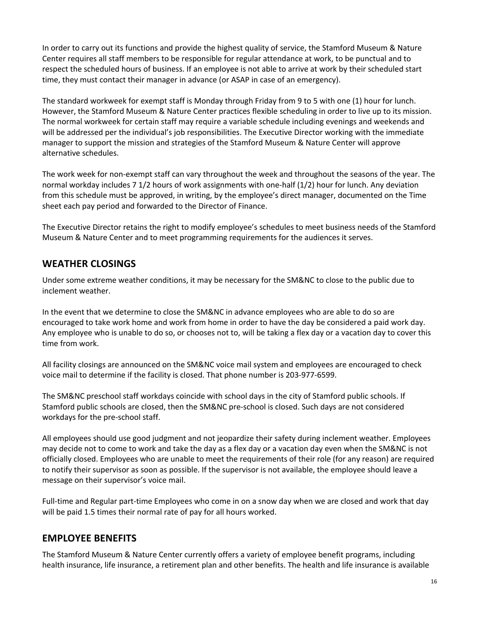In order to carry out its functions and provide the highest quality of service, the Stamford Museum & Nature Center requires all staff members to be responsible for regular attendance at work, to be punctual and to respect the scheduled hours of business. If an employee is not able to arrive at work by their scheduled start time, they must contact their manager in advance (or ASAP in case of an emergency).

The standard workweek for exempt staff is Monday through Friday from 9 to 5 with one (1) hour for lunch. However, the Stamford Museum & Nature Center practices flexible scheduling in order to live up to its mission. The normal workweek for certain staff may require a variable schedule including evenings and weekends and will be addressed per the individual's job responsibilities. The Executive Director working with the immediate manager to support the mission and strategies of the Stamford Museum & Nature Center will approve alternative schedules.

The work week for non-exempt staff can vary throughout the week and throughout the seasons of the year. The normal workday includes 7 1/2 hours of work assignments with one-half (1/2) hour for lunch. Any deviation from this schedule must be approved, in writing, by the employee's direct manager, documented on the Time sheet each pay period and forwarded to the Director of Finance.

The Executive Director retains the right to modify employee's schedules to meet business needs of the Stamford Museum & Nature Center and to meet programming requirements for the audiences it serves.

# **WEATHER CLOSINGS**

Under some extreme weather conditions, it may be necessary for the SM&NC to close to the public due to inclement weather.

In the event that we determine to close the SM&NC in advance employees who are able to do so are encouraged to take work home and work from home in order to have the day be considered a paid work day. Any employee who is unable to do so, or chooses not to, will be taking a flex day or a vacation day to cover this time from work.

All facility closings are announced on the SM&NC voice mail system and employees are encouraged to check voice mail to determine if the facility is closed. That phone number is 203-977-6599.

The SM&NC preschool staff workdays coincide with school days in the city of Stamford public schools. If Stamford public schools are closed, then the SM&NC pre-school is closed. Such days are not considered workdays for the pre-school staff.

All employees should use good judgment and not jeopardize their safety during inclement weather. Employees may decide not to come to work and take the day as a flex day or a vacation day even when the SM&NC is not officially closed. Employees who are unable to meet the requirements of their role (for any reason) are required to notify their supervisor as soon as possible. If the supervisor is not available, the employee should leave a message on their supervisor's voice mail.

Full-time and Regular part-time Employees who come in on a snow day when we are closed and work that day will be paid 1.5 times their normal rate of pay for all hours worked.

# **EMPLOYEE BENEFITS**

The Stamford Museum & Nature Center currently offers a variety of employee benefit programs, including health insurance, life insurance, a retirement plan and other benefits. The health and life insurance is available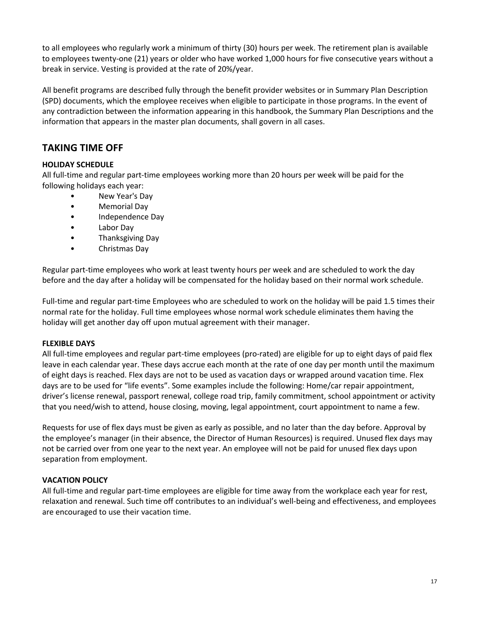to all employees who regularly work a minimum of thirty (30) hours per week. The retirement plan is available to employees twenty-one (21) years or older who have worked 1,000 hours for five consecutive years without a break in service. Vesting is provided at the rate of 20%/year.

All benefit programs are described fully through the benefit provider websites or in Summary Plan Description (SPD) documents, which the employee receives when eligible to participate in those programs. In the event of any contradiction between the information appearing in this handbook, the Summary Plan Descriptions and the information that appears in the master plan documents, shall govern in all cases.

# **TAKING TIME OFF**

### **HOLIDAY SCHEDULE**

All full-time and regular part-time employees working more than 20 hours per week will be paid for the following holidays each year:

- New Year's Day
- Memorial Day
- Independence Day
- Labor Day
- Thanksgiving Day
- Christmas Day

Regular part-time employees who work at least twenty hours per week and are scheduled to work the day before and the day after a holiday will be compensated for the holiday based on their normal work schedule.

Full-time and regular part-time Employees who are scheduled to work on the holiday will be paid 1.5 times their normal rate for the holiday. Full time employees whose normal work schedule eliminates them having the holiday will get another day off upon mutual agreement with their manager.

### **FLEXIBLE DAYS**

All full-time employees and regular part-time employees (pro-rated) are eligible for up to eight days of paid flex leave in each calendar year. These days accrue each month at the rate of one day per month until the maximum of eight days is reached. Flex days are not to be used as vacation days or wrapped around vacation time. Flex days are to be used for "life events". Some examples include the following: Home/car repair appointment, driver's license renewal, passport renewal, college road trip, family commitment, school appointment or activity that you need/wish to attend, house closing, moving, legal appointment, court appointment to name a few.

Requests for use of flex days must be given as early as possible, and no later than the day before. Approval by the employee's manager (in their absence, the Director of Human Resources) is required. Unused flex days may not be carried over from one year to the next year. An employee will not be paid for unused flex days upon separation from employment.

### **VACATION POLICY**

All full-time and regular part-time employees are eligible for time away from the workplace each year for rest, relaxation and renewal. Such time off contributes to an individual's well-being and effectiveness, and employees are encouraged to use their vacation time.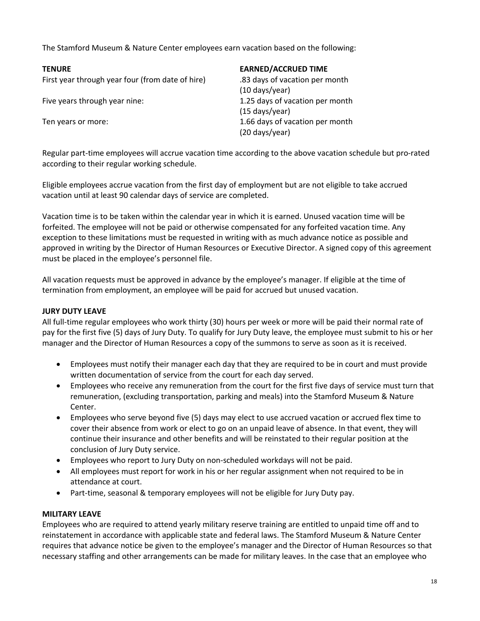The Stamford Museum & Nature Center employees earn vacation based on the following:

| <b>TENURE</b>                                    | <b>EARN</b>        |
|--------------------------------------------------|--------------------|
| First year through year four (from date of hire) | .83 da             |
|                                                  | (10 da             |
| Five years through year nine:                    | 1.25c              |
|                                                  | (15 <sub>d</sub> ) |
| Ten years or more:                               | 1.66c              |
|                                                  | (20 da             |
|                                                  |                    |

### **IED/ACCRUED TIME**

ays of vacation per month ays/year) days of vacation per month ays/year) days of vacation per month ays/year)

Regular part-time employees will accrue vacation time according to the above vacation schedule but pro-rated according to their regular working schedule.

Eligible employees accrue vacation from the first day of employment but are not eligible to take accrued vacation until at least 90 calendar days of service are completed.

Vacation time is to be taken within the calendar year in which it is earned. Unused vacation time will be forfeited. The employee will not be paid or otherwise compensated for any forfeited vacation time. Any exception to these limitations must be requested in writing with as much advance notice as possible and approved in writing by the Director of Human Resources or Executive Director. A signed copy of this agreement must be placed in the employee's personnel file.

All vacation requests must be approved in advance by the employee's manager. If eligible at the time of termination from employment, an employee will be paid for accrued but unused vacation.

### **JURY DUTY LEAVE**

All full-time regular employees who work thirty (30) hours per week or more will be paid their normal rate of pay for the first five (5) days of Jury Duty. To qualify for Jury Duty leave, the employee must submit to his or her manager and the Director of Human Resources a copy of the summons to serve as soon as it is received.

- Employees must notify their manager each day that they are required to be in court and must provide written documentation of service from the court for each day served.
- Employees who receive any remuneration from the court for the first five days of service must turn that remuneration, (excluding transportation, parking and meals) into the Stamford Museum & Nature Center.
- Employees who serve beyond five (5) days may elect to use accrued vacation or accrued flex time to cover their absence from work or elect to go on an unpaid leave of absence. In that event, they will continue their insurance and other benefits and will be reinstated to their regular position at the conclusion of Jury Duty service.
- Employees who report to Jury Duty on non-scheduled workdays will not be paid.
- All employees must report for work in his or her regular assignment when not required to be in attendance at court.
- Part-time, seasonal & temporary employees will not be eligible for Jury Duty pay.

### **MILITARY LEAVE**

Employees who are required to attend yearly military reserve training are entitled to unpaid time off and to reinstatement in accordance with applicable state and federal laws. The Stamford Museum & Nature Center requires that advance notice be given to the employee's manager and the Director of Human Resources so that necessary staffing and other arrangements can be made for military leaves. In the case that an employee who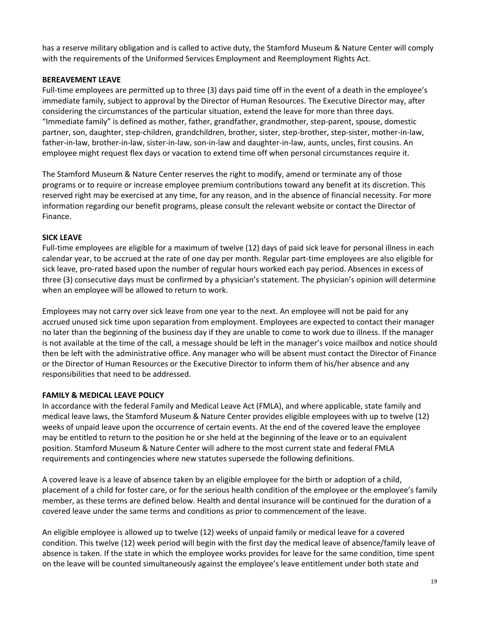has a reserve military obligation and is called to active duty, the Stamford Museum & Nature Center will comply with the requirements of the Uniformed Services Employment and Reemployment Rights Act.

### **BEREAVEMENT LEAVE**

Full-time employees are permitted up to three (3) days paid time off in the event of a death in the employee's immediate family, subject to approval by the Director of Human Resources. The Executive Director may, after considering the circumstances of the particular situation, extend the leave for more than three days. "Immediate family" is defined as mother, father, grandfather, grandmother, step-parent, spouse, domestic partner, son, daughter, step-children, grandchildren, brother, sister, step-brother, step-sister, mother-in-law, father-in-law, brother-in-law, sister-in-law, son-in-law and daughter-in-law, aunts, uncles, first cousins. An employee might request flex days or vacation to extend time off when personal circumstances require it.

The Stamford Museum & Nature Center reserves the right to modify, amend or terminate any of those programs or to require or increase employee premium contributions toward any benefit at its discretion. This reserved right may be exercised at any time, for any reason, and in the absence of financial necessity. For more information regarding our benefit programs, please consult the relevant website or contact the Director of Finance.

### **SICK LEAVE**

Full-time employees are eligible for a maximum of twelve (12) days of paid sick leave for personal illness in each calendar year, to be accrued at the rate of one day per month. Regular part-time employees are also eligible for sick leave, pro-rated based upon the number of regular hours worked each pay period. Absences in excess of three (3) consecutive days must be confirmed by a physician's statement. The physician's opinion will determine when an employee will be allowed to return to work.

Employees may not carry over sick leave from one year to the next. An employee will not be paid for any accrued unused sick time upon separation from employment. Employees are expected to contact their manager no later than the beginning of the business day if they are unable to come to work due to illness. If the manager is not available at the time of the call, a message should be left in the manager's voice mailbox and notice should then be left with the administrative office. Any manager who will be absent must contact the Director of Finance or the Director of Human Resources or the Executive Director to inform them of his/her absence and any responsibilities that need to be addressed.

#### **FAMILY & MEDICAL LEAVE POLICY**

In accordance with the federal Family and Medical Leave Act (FMLA), and where applicable, state family and medical leave laws, the Stamford Museum & Nature Center provides eligible employees with up to twelve (12) weeks of unpaid leave upon the occurrence of certain events. At the end of the covered leave the employee may be entitled to return to the position he or she held at the beginning of the leave or to an equivalent position. Stamford Museum & Nature Center will adhere to the most current state and federal FMLA requirements and contingencies where new statutes supersede the following definitions.

A covered leave is a leave of absence taken by an eligible employee for the birth or adoption of a child, placement of a child for foster care, or for the serious health condition of the employee or the employee's family member, as these terms are defined below. Health and dental insurance will be continued for the duration of a covered leave under the same terms and conditions as prior to commencement of the leave.

An eligible employee is allowed up to twelve (12) weeks of unpaid family or medical leave for a covered condition. This twelve (12) week period will begin with the first day the medical leave of absence/family leave of absence is taken. If the state in which the employee works provides for leave for the same condition, time spent on the leave will be counted simultaneously against the employee's leave entitlement under both state and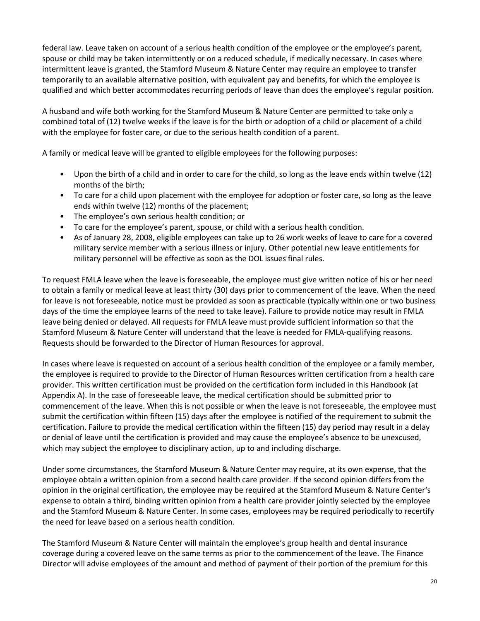federal law. Leave taken on account of a serious health condition of the employee or the employee's parent, spouse or child may be taken intermittently or on a reduced schedule, if medically necessary. In cases where intermittent leave is granted, the Stamford Museum & Nature Center may require an employee to transfer temporarily to an available alternative position, with equivalent pay and benefits, for which the employee is qualified and which better accommodates recurring periods of leave than does the employee's regular position.

A husband and wife both working for the Stamford Museum & Nature Center are permitted to take only a combined total of (12) twelve weeks if the leave is for the birth or adoption of a child or placement of a child with the employee for foster care, or due to the serious health condition of a parent.

A family or medical leave will be granted to eligible employees for the following purposes:

- Upon the birth of a child and in order to care for the child, so long as the leave ends within twelve (12) months of the birth;
- To care for a child upon placement with the employee for adoption or foster care, so long as the leave ends within twelve (12) months of the placement;
- The employee's own serious health condition; or
- To care for the employee's parent, spouse, or child with a serious health condition.
- As of January 28, 2008, eligible employees can take up to 26 work weeks of leave to care for a covered military service member with a serious illness or injury. Other potential new leave entitlements for military personnel will be effective as soon as the DOL issues final rules.

To request FMLA leave when the leave is foreseeable, the employee must give written notice of his or her need to obtain a family or medical leave at least thirty (30) days prior to commencement of the leave. When the need for leave is not foreseeable, notice must be provided as soon as practicable (typically within one or two business days of the time the employee learns of the need to take leave). Failure to provide notice may result in FMLA leave being denied or delayed. All requests for FMLA leave must provide sufficient information so that the Stamford Museum & Nature Center will understand that the leave is needed for FMLA-qualifying reasons. Requests should be forwarded to the Director of Human Resources for approval.

In cases where leave is requested on account of a serious health condition of the employee or a family member, the employee is required to provide to the Director of Human Resources written certification from a health care provider. This written certification must be provided on the certification form included in this Handbook (at Appendix A). In the case of foreseeable leave, the medical certification should be submitted prior to commencement of the leave. When this is not possible or when the leave is not foreseeable, the employee must submit the certification within fifteen (15) days after the employee is notified of the requirement to submit the certification. Failure to provide the medical certification within the fifteen (15) day period may result in a delay or denial of leave until the certification is provided and may cause the employee's absence to be unexcused, which may subject the employee to disciplinary action, up to and including discharge.

Under some circumstances, the Stamford Museum & Nature Center may require, at its own expense, that the employee obtain a written opinion from a second health care provider. If the second opinion differs from the opinion in the original certification, the employee may be required at the Stamford Museum & Nature Center's expense to obtain a third, binding written opinion from a health care provider jointly selected by the employee and the Stamford Museum & Nature Center. In some cases, employees may be required periodically to recertify the need for leave based on a serious health condition.

The Stamford Museum & Nature Center will maintain the employee's group health and dental insurance coverage during a covered leave on the same terms as prior to the commencement of the leave. The Finance Director will advise employees of the amount and method of payment of their portion of the premium for this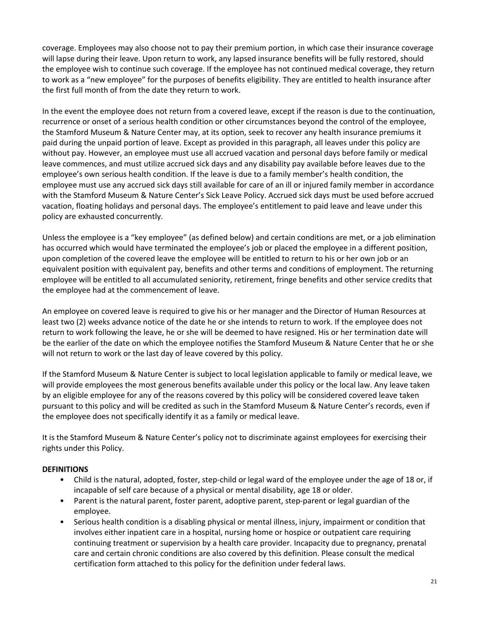coverage. Employees may also choose not to pay their premium portion, in which case their insurance coverage will lapse during their leave. Upon return to work, any lapsed insurance benefits will be fully restored, should the employee wish to continue such coverage. If the employee has not continued medical coverage, they return to work as a "new employee" for the purposes of benefits eligibility. They are entitled to health insurance after the first full month of from the date they return to work.

In the event the employee does not return from a covered leave, except if the reason is due to the continuation, recurrence or onset of a serious health condition or other circumstances beyond the control of the employee, the Stamford Museum & Nature Center may, at its option, seek to recover any health insurance premiums it paid during the unpaid portion of leave. Except as provided in this paragraph, all leaves under this policy are without pay. However, an employee must use all accrued vacation and personal days before family or medical leave commences, and must utilize accrued sick days and any disability pay available before leaves due to the employee's own serious health condition. If the leave is due to a family member's health condition, the employee must use any accrued sick days still available for care of an ill or injured family member in accordance with the Stamford Museum & Nature Center's Sick Leave Policy. Accrued sick days must be used before accrued vacation, floating holidays and personal days. The employee's entitlement to paid leave and leave under this policy are exhausted concurrently.

Unless the employee is a "key employee" (as defined below) and certain conditions are met, or a job elimination has occurred which would have terminated the employee's job or placed the employee in a different position, upon completion of the covered leave the employee will be entitled to return to his or her own job or an equivalent position with equivalent pay, benefits and other terms and conditions of employment. The returning employee will be entitled to all accumulated seniority, retirement, fringe benefits and other service credits that the employee had at the commencement of leave.

An employee on covered leave is required to give his or her manager and the Director of Human Resources at least two (2) weeks advance notice of the date he or she intends to return to work. If the employee does not return to work following the leave, he or she will be deemed to have resigned. His or her termination date will be the earlier of the date on which the employee notifies the Stamford Museum & Nature Center that he or she will not return to work or the last day of leave covered by this policy.

If the Stamford Museum & Nature Center is subject to local legislation applicable to family or medical leave, we will provide employees the most generous benefits available under this policy or the local law. Any leave taken by an eligible employee for any of the reasons covered by this policy will be considered covered leave taken pursuant to this policy and will be credited as such in the Stamford Museum & Nature Center's records, even if the employee does not specifically identify it as a family or medical leave.

It is the Stamford Museum & Nature Center's policy not to discriminate against employees for exercising their rights under this Policy.

#### **DEFINITIONS**

- Child is the natural, adopted, foster, step-child or legal ward of the employee under the age of 18 or, if incapable of self care because of a physical or mental disability, age 18 or older.
- Parent is the natural parent, foster parent, adoptive parent, step-parent or legal guardian of the employee.
- Serious health condition is a disabling physical or mental illness, injury, impairment or condition that involves either inpatient care in a hospital, nursing home or hospice or outpatient care requiring continuing treatment or supervision by a health care provider. Incapacity due to pregnancy, prenatal care and certain chronic conditions are also covered by this definition. Please consult the medical certification form attached to this policy for the definition under federal laws.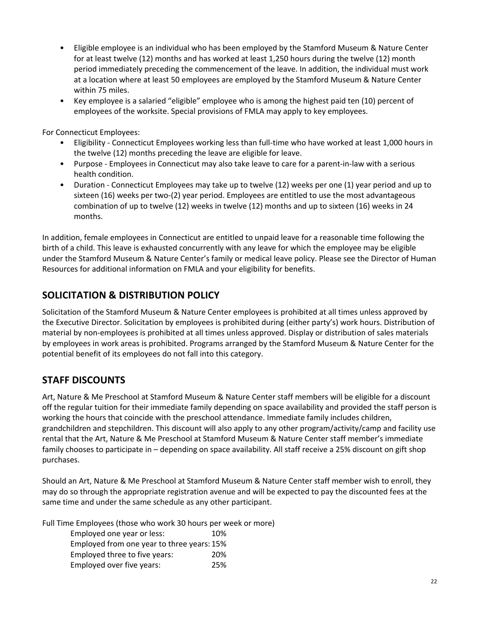- Eligible employee is an individual who has been employed by the Stamford Museum & Nature Center for at least twelve (12) months and has worked at least 1,250 hours during the twelve (12) month period immediately preceding the commencement of the leave. In addition, the individual must work at a location where at least 50 employees are employed by the Stamford Museum & Nature Center within 75 miles.
- Key employee is a salaried "eligible" employee who is among the highest paid ten (10) percent of employees of the worksite. Special provisions of FMLA may apply to key employees.

For Connecticut Employees:

- Eligibility Connecticut Employees working less than full-time who have worked at least 1,000 hours in the twelve (12) months preceding the leave are eligible for leave.
- Purpose Employees in Connecticut may also take leave to care for a parent-in-law with a serious health condition.
- Duration Connecticut Employees may take up to twelve (12) weeks per one (1) year period and up to sixteen (16) weeks per two-(2) year period. Employees are entitled to use the most advantageous combination of up to twelve (12) weeks in twelve (12) months and up to sixteen (16) weeks in 24 months.

In addition, female employees in Connecticut are entitled to unpaid leave for a reasonable time following the birth of a child. This leave is exhausted concurrently with any leave for which the employee may be eligible under the Stamford Museum & Nature Center's family or medical leave policy. Please see the Director of Human Resources for additional information on FMLA and your eligibility for benefits.

# **SOLICITATION & DISTRIBUTION POLICY**

Solicitation of the Stamford Museum & Nature Center employees is prohibited at all times unless approved by the Executive Director. Solicitation by employees is prohibited during (either party's) work hours. Distribution of material by non-employees is prohibited at all times unless approved. Display or distribution of sales materials by employees in work areas is prohibited. Programs arranged by the Stamford Museum & Nature Center for the potential benefit of its employees do not fall into this category.

# **STAFF DISCOUNTS**

Art, Nature & Me Preschool at Stamford Museum & Nature Center staff members will be eligible for a discount off the regular tuition for their immediate family depending on space availability and provided the staff person is working the hours that coincide with the preschool attendance. Immediate family includes children, grandchildren and stepchildren. This discount will also apply to any other program/activity/camp and facility use rental that the Art, Nature & Me Preschool at Stamford Museum & Nature Center staff member's immediate family chooses to participate in – depending on space availability. All staff receive a 25% discount on gift shop purchases.

Should an Art, Nature & Me Preschool at Stamford Museum & Nature Center staff member wish to enroll, they may do so through the appropriate registration avenue and will be expected to pay the discounted fees at the same time and under the same schedule as any other participant.

Full Time Employees (those who work 30 hours per week or more)

| 10%                                        |
|--------------------------------------------|
| Employed from one year to three years: 15% |
| 20%                                        |
| 25%                                        |
|                                            |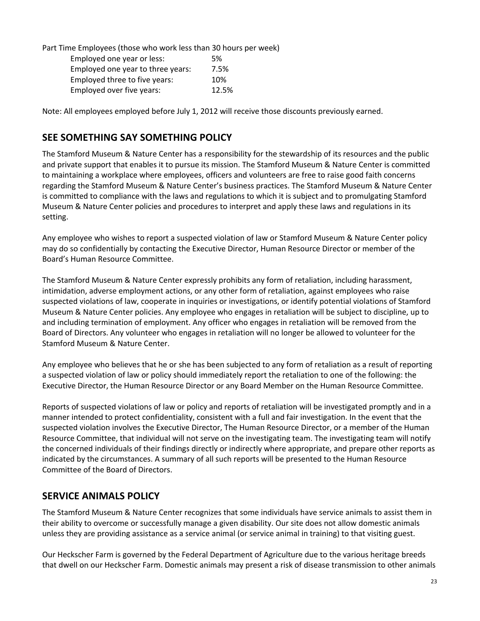Part Time Employees (those who work less than 30 hours per week)

| Employed one year or less:        | .5%   |
|-----------------------------------|-------|
| Employed one year to three years: | 7.5%  |
| Employed three to five years:     | 10%   |
| Employed over five years:         | 12.5% |

Note: All employees employed before July 1, 2012 will receive those discounts previously earned.

# **SEE SOMETHING SAY SOMETHING POLICY**

The Stamford Museum & Nature Center has a responsibility for the stewardship of its resources and the public and private support that enables it to pursue its mission. The Stamford Museum & Nature Center is committed to maintaining a workplace where employees, officers and volunteers are free to raise good faith concerns regarding the Stamford Museum & Nature Center's business practices. The Stamford Museum & Nature Center is committed to compliance with the laws and regulations to which it is subject and to promulgating Stamford Museum & Nature Center policies and procedures to interpret and apply these laws and regulations in its setting.

Any employee who wishes to report a suspected violation of law or Stamford Museum & Nature Center policy may do so confidentially by contacting the Executive Director, Human Resource Director or member of the Board's Human Resource Committee.

The Stamford Museum & Nature Center expressly prohibits any form of retaliation, including harassment, intimidation, adverse employment actions, or any other form of retaliation, against employees who raise suspected violations of law, cooperate in inquiries or investigations, or identify potential violations of Stamford Museum & Nature Center policies. Any employee who engages in retaliation will be subject to discipline, up to and including termination of employment. Any officer who engages in retaliation will be removed from the Board of Directors. Any volunteer who engages in retaliation will no longer be allowed to volunteer for the Stamford Museum & Nature Center.

Any employee who believes that he or she has been subjected to any form of retaliation as a result of reporting a suspected violation of law or policy should immediately report the retaliation to one of the following: the Executive Director, the Human Resource Director or any Board Member on the Human Resource Committee.

Reports of suspected violations of law or policy and reports of retaliation will be investigated promptly and in a manner intended to protect confidentiality, consistent with a full and fair investigation. In the event that the suspected violation involves the Executive Director, The Human Resource Director, or a member of the Human Resource Committee, that individual will not serve on the investigating team. The investigating team will notify the concerned individuals of their findings directly or indirectly where appropriate, and prepare other reports as indicated by the circumstances. A summary of all such reports will be presented to the Human Resource Committee of the Board of Directors.

# **SERVICE ANIMALS POLICY**

The Stamford Museum & Nature Center recognizes that some individuals have service animals to assist them in their ability to overcome or successfully manage a given disability. Our site does not allow domestic animals unless they are providing assistance as a service animal (or service animal in training) to that visiting guest.

Our Heckscher Farm is governed by the Federal Department of Agriculture due to the various heritage breeds that dwell on our Heckscher Farm. Domestic animals may present a risk of disease transmission to other animals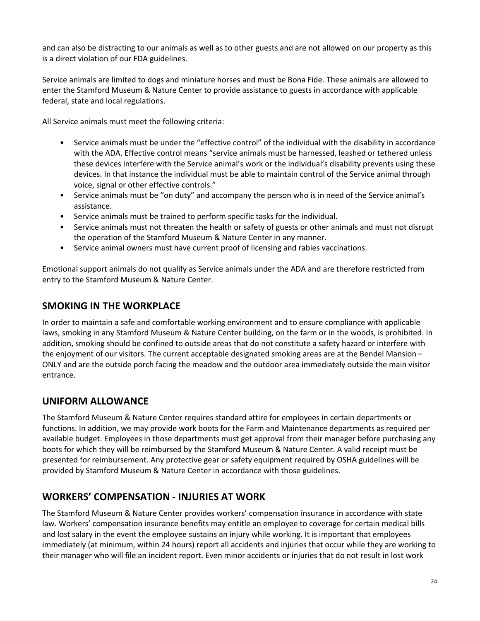and can also be distracting to our animals as well as to other guests and are not allowed on our property as this is a direct violation of our FDA guidelines.

Service animals are limited to dogs and miniature horses and must be Bona Fide. These animals are allowed to enter the Stamford Museum & Nature Center to provide assistance to guests in accordance with applicable federal, state and local regulations.

All Service animals must meet the following criteria:

- Service animals must be under the "effective control" of the individual with the disability in accordance with the ADA. Effective control means "service animals must be harnessed, leashed or tethered unless these devices interfere with the Service animal's work or the individual's disability prevents using these devices. In that instance the individual must be able to maintain control of the Service animal through voice, signal or other effective controls."
- Service animals must be "on duty" and accompany the person who is in need of the Service animal's assistance.
- Service animals must be trained to perform specific tasks for the individual.
- Service animals must not threaten the health or safety of guests or other animals and must not disrupt the operation of the Stamford Museum & Nature Center in any manner.
- Service animal owners must have current proof of licensing and rabies vaccinations.

Emotional support animals do not qualify as Service animals under the ADA and are therefore restricted from entry to the Stamford Museum & Nature Center.

# **SMOKING IN THE WORKPLACE**

In order to maintain a safe and comfortable working environment and to ensure compliance with applicable laws, smoking in any Stamford Museum & Nature Center building, on the farm or in the woods, is prohibited. In addition, smoking should be confined to outside areas that do not constitute a safety hazard or interfere with the enjoyment of our visitors. The current acceptable designated smoking areas are at the Bendel Mansion – ONLY and are the outside porch facing the meadow and the outdoor area immediately outside the main visitor entrance.

### **UNIFORM ALLOWANCE**

The Stamford Museum & Nature Center requires standard attire for employees in certain departments or functions. In addition, we may provide work boots for the Farm and Maintenance departments as required per available budget. Employees in those departments must get approval from their manager before purchasing any boots for which they will be reimbursed by the Stamford Museum & Nature Center. A valid receipt must be presented for reimbursement. Any protective gear or safety equipment required by OSHA guidelines will be provided by Stamford Museum & Nature Center in accordance with those guidelines.

# **WORKERS' COMPENSATION - INJURIES AT WORK**

The Stamford Museum & Nature Center provides workers' compensation insurance in accordance with state law. Workers' compensation insurance benefits may entitle an employee to coverage for certain medical bills and lost salary in the event the employee sustains an injury while working. It is important that employees immediately (at minimum, within 24 hours) report all accidents and injuries that occur while they are working to their manager who will file an incident report. Even minor accidents or injuries that do not result in lost work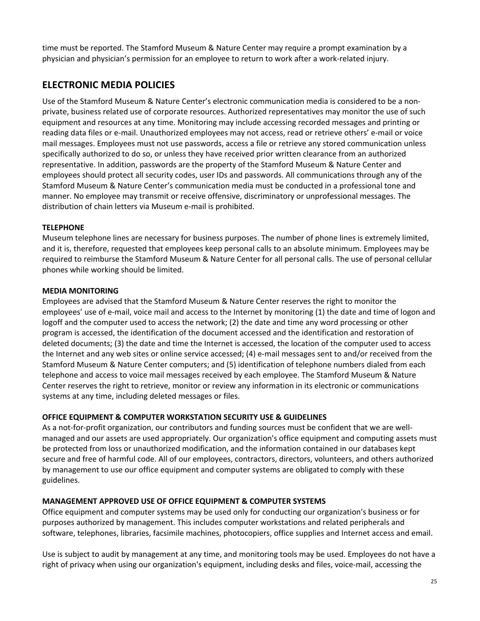time must be reported. The Stamford Museum & Nature Center may require a prompt examination by a physician and physician's permission for an employee to return to work after a work-related injury.

# **ELECTRONIC MEDIA POLICIES**

Use of the Stamford Museum & Nature Center's electronic communication media is considered to be a nonprivate, business related use of corporate resources. Authorized representatives may monitor the use of such equipment and resources at any time. Monitoring may include accessing recorded messages and printing or reading data files or e-mail. Unauthorized employees may not access, read or retrieve others' e-mail or voice mail messages. Employees must not use passwords, access a file or retrieve any stored communication unless specifically authorized to do so, or unless they have received prior written clearance from an authorized representative. In addition, passwords are the property of the Stamford Museum & Nature Center and employees should protect all security codes, user IDs and passwords. All communications through any of the Stamford Museum & Nature Center's communication media must be conducted in a professional tone and manner. No employee may transmit or receive offensive, discriminatory or unprofessional messages. The distribution of chain letters via Museum e-mail is prohibited.

### **TELEPHONE**

Museum telephone lines are necessary for business purposes. The number of phone lines is extremely limited, and it is, therefore, requested that employees keep personal calls to an absolute minimum. Employees may be required to reimburse the Stamford Museum & Nature Center for all personal calls. The use of personal cellular phones while working should be limited.

### **MEDIA MONITORING**

Employees are advised that the Stamford Museum & Nature Center reserves the right to monitor the employees' use of e-mail, voice mail and access to the Internet by monitoring (1) the date and time of logon and logoff and the computer used to access the network; (2) the date and time any word processing or other program is accessed, the identification of the document accessed and the identification and restoration of deleted documents; (3) the date and time the Internet is accessed, the location of the computer used to access the Internet and any web sites or online service accessed; (4) e-mail messages sent to and/or received from the Stamford Museum & Nature Center computers; and (5) identification of telephone numbers dialed from each telephone and access to voice mail messages received by each employee. The Stamford Museum & Nature Center reserves the right to retrieve, monitor or review any information in its electronic or communications systems at any time, including deleted messages or files.

#### **OFFICE EQUIPMENT & COMPUTER WORKSTATION SECURITY USE & GUIDELINES**

As a not-for-profit organization, our contributors and funding sources must be confident that we are wellmanaged and our assets are used appropriately. Our organization's office equipment and computing assets must be protected from loss or unauthorized modification, and the information contained in our databases kept secure and free of harmful code. All of our employees, contractors, directors, volunteers, and others authorized by management to use our office equipment and computer systems are obligated to comply with these guidelines.

### **MANAGEMENT APPROVED USE OF OFFICE EQUIPMENT & COMPUTER SYSTEMS**

Office equipment and computer systems may be used only for conducting our organization's business or for purposes authorized by management. This includes computer workstations and related peripherals and software, telephones, libraries, facsimile machines, photocopiers, office supplies and Internet access and email.

Use is subject to audit by management at any time, and monitoring tools may be used. Employees do not have a right of privacy when using our organization's equipment, including desks and files, voice-mail, accessing the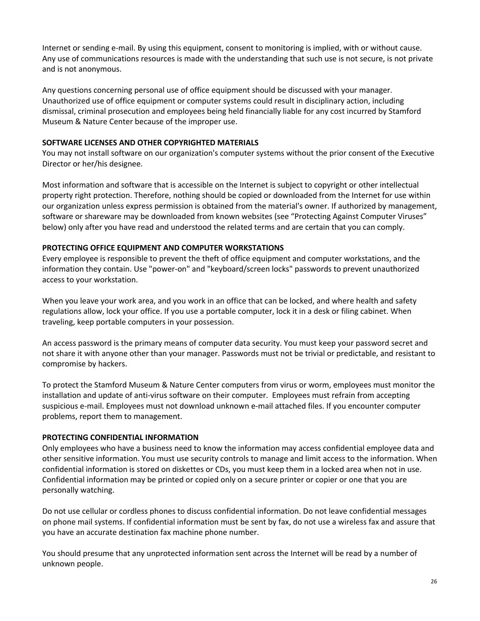Internet or sending e-mail. By using this equipment, consent to monitoring is implied, with or without cause. Any use of communications resources is made with the understanding that such use is not secure, is not private and is not anonymous.

Any questions concerning personal use of office equipment should be discussed with your manager. Unauthorized use of office equipment or computer systems could result in disciplinary action, including dismissal, criminal prosecution and employees being held financially liable for any cost incurred by Stamford Museum & Nature Center because of the improper use.

### **SOFTWARE LICENSES AND OTHER COPYRIGHTED MATERIALS**

You may not install software on our organization's computer systems without the prior consent of the Executive Director or her/his designee.

Most information and software that is accessible on the Internet is subject to copyright or other intellectual property right protection. Therefore, nothing should be copied or downloaded from the Internet for use within our organization unless express permission is obtained from the material's owner. If authorized by management, software or shareware may be downloaded from known websites (see "Protecting Against Computer Viruses" below) only after you have read and understood the related terms and are certain that you can comply.

### **PROTECTING OFFICE EQUIPMENT AND COMPUTER WORKSTATIONS**

Every employee is responsible to prevent the theft of office equipment and computer workstations, and the information they contain. Use "power-on" and "keyboard/screen locks" passwords to prevent unauthorized access to your workstation.

When you leave your work area, and you work in an office that can be locked, and where health and safety regulations allow, lock your office. If you use a portable computer, lock it in a desk or filing cabinet. When traveling, keep portable computers in your possession.

An access password is the primary means of computer data security. You must keep your password secret and not share it with anyone other than your manager. Passwords must not be trivial or predictable, and resistant to compromise by hackers.

To protect the Stamford Museum & Nature Center computers from virus or worm, employees must monitor the installation and update of anti-virus software on their computer. Employees must refrain from accepting suspicious e-mail. Employees must not download unknown e-mail attached files. If you encounter computer problems, report them to management.

#### **PROTECTING CONFIDENTIAL INFORMATION**

Only employees who have a business need to know the information may access confidential employee data and other sensitive information. You must use security controls to manage and limit access to the information. When confidential information is stored on diskettes or CDs, you must keep them in a locked area when not in use. Confidential information may be printed or copied only on a secure printer or copier or one that you are personally watching.

Do not use cellular or cordless phones to discuss confidential information. Do not leave confidential messages on phone mail systems. If confidential information must be sent by fax, do not use a wireless fax and assure that you have an accurate destination fax machine phone number.

You should presume that any unprotected information sent across the Internet will be read by a number of unknown people.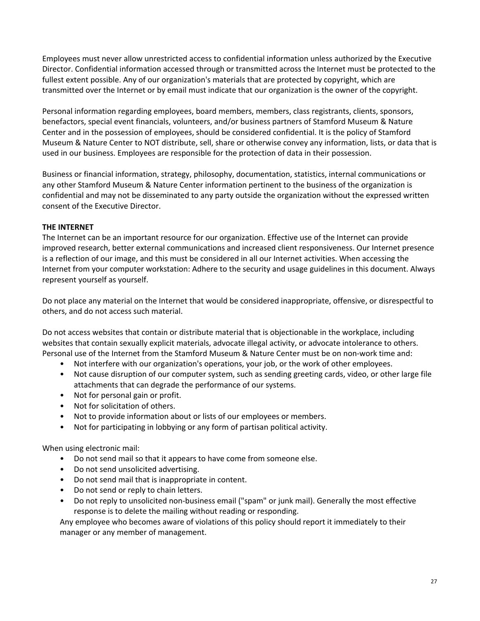Employees must never allow unrestricted access to confidential information unless authorized by the Executive Director. Confidential information accessed through or transmitted across the Internet must be protected to the fullest extent possible. Any of our organization's materials that are protected by copyright, which are transmitted over the Internet or by email must indicate that our organization is the owner of the copyright.

Personal information regarding employees, board members, members, class registrants, clients, sponsors, benefactors, special event financials, volunteers, and/or business partners of Stamford Museum & Nature Center and in the possession of employees, should be considered confidential. It is the policy of Stamford Museum & Nature Center to NOT distribute, sell, share or otherwise convey any information, lists, or data that is used in our business. Employees are responsible for the protection of data in their possession.

Business or financial information, strategy, philosophy, documentation, statistics, internal communications or any other Stamford Museum & Nature Center information pertinent to the business of the organization is confidential and may not be disseminated to any party outside the organization without the expressed written consent of the Executive Director.

#### **THE INTERNET**

The Internet can be an important resource for our organization. Effective use of the Internet can provide improved research, better external communications and increased client responsiveness. Our Internet presence is a reflection of our image, and this must be considered in all our Internet activities. When accessing the Internet from your computer workstation: Adhere to the security and usage guidelines in this document. Always represent yourself as yourself.

Do not place any material on the Internet that would be considered inappropriate, offensive, or disrespectful to others, and do not access such material.

Do not access websites that contain or distribute material that is objectionable in the workplace, including websites that contain sexually explicit materials, advocate illegal activity, or advocate intolerance to others. Personal use of the Internet from the Stamford Museum & Nature Center must be on non-work time and:

- Not interfere with our organization's operations, your job, or the work of other employees.
- Not cause disruption of our computer system, such as sending greeting cards, video, or other large file attachments that can degrade the performance of our systems.
- Not for personal gain or profit.
- Not for solicitation of others.
- Not to provide information about or lists of our employees or members.
- Not for participating in lobbying or any form of partisan political activity.

#### When using electronic mail:

- Do not send mail so that it appears to have come from someone else.
- Do not send unsolicited advertising.
- Do not send mail that is inappropriate in content.
- Do not send or reply to chain letters.
- Do not reply to unsolicited non-business email ("spam" or junk mail). Generally the most effective response is to delete the mailing without reading or responding.

Any employee who becomes aware of violations of this policy should report it immediately to their manager or any member of management.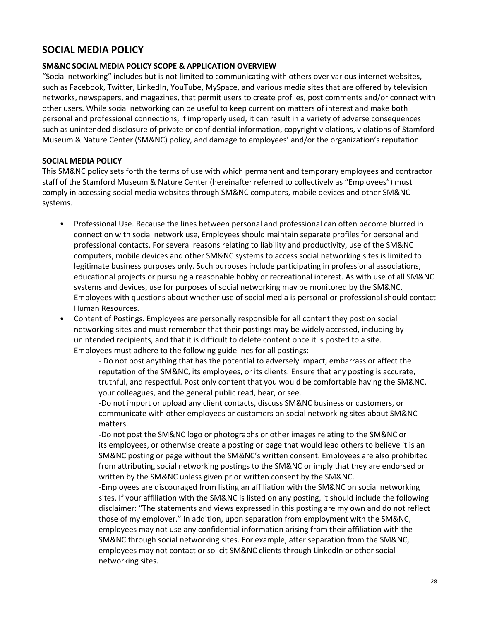### **SOCIAL MEDIA POLICY**

### **SM&NC SOCIAL MEDIA POLICY SCOPE & APPLICATION OVERVIEW**

"Social networking" includes but is not limited to communicating with others over various internet websites, such as Facebook, Twitter, LinkedIn, YouTube, MySpace, and various media sites that are offered by television networks, newspapers, and magazines, that permit users to create profiles, post comments and/or connect with other users. While social networking can be useful to keep current on matters of interest and make both personal and professional connections, if improperly used, it can result in a variety of adverse consequences such as unintended disclosure of private or confidential information, copyright violations, violations of Stamford Museum & Nature Center (SM&NC) policy, and damage to employees' and/or the organization's reputation.

### **SOCIAL MEDIA POLICY**

This SM&NC policy sets forth the terms of use with which permanent and temporary employees and contractor staff of the Stamford Museum & Nature Center (hereinafter referred to collectively as "Employees") must comply in accessing social media websites through SM&NC computers, mobile devices and other SM&NC systems.

- Professional Use. Because the lines between personal and professional can often become blurred in connection with social network use, Employees should maintain separate profiles for personal and professional contacts. For several reasons relating to liability and productivity, use of the SM&NC computers, mobile devices and other SM&NC systems to access social networking sites is limited to legitimate business purposes only. Such purposes include participating in professional associations, educational projects or pursuing a reasonable hobby or recreational interest. As with use of all SM&NC systems and devices, use for purposes of social networking may be monitored by the SM&NC. Employees with questions about whether use of social media is personal or professional should contact Human Resources.
- Content of Postings. Employees are personally responsible for all content they post on social networking sites and must remember that their postings may be widely accessed, including by unintended recipients, and that it is difficult to delete content once it is posted to a site. Employees must adhere to the following guidelines for all postings:

- Do not post anything that has the potential to adversely impact, embarrass or affect the reputation of the SM&NC, its employees, or its clients. Ensure that any posting is accurate, truthful, and respectful. Post only content that you would be comfortable having the SM&NC, your colleagues, and the general public read, hear, or see.

-Do not import or upload any client contacts, discuss SM&NC business or customers, or communicate with other employees or customers on social networking sites about SM&NC matters.

-Do not post the SM&NC logo or photographs or other images relating to the SM&NC or its employees, or otherwise create a posting or page that would lead others to believe it is an SM&NC posting or page without the SM&NC's written consent. Employees are also prohibited from attributing social networking postings to the SM&NC or imply that they are endorsed or written by the SM&NC unless given prior written consent by the SM&NC.

-Employees are discouraged from listing an affiliation with the SM&NC on social networking sites. If your affiliation with the SM&NC is listed on any posting, it should include the following disclaimer: "The statements and views expressed in this posting are my own and do not reflect those of my employer." In addition, upon separation from employment with the SM&NC, employees may not use any confidential information arising from their affiliation with the SM&NC through social networking sites. For example, after separation from the SM&NC, employees may not contact or solicit SM&NC clients through LinkedIn or other social networking sites.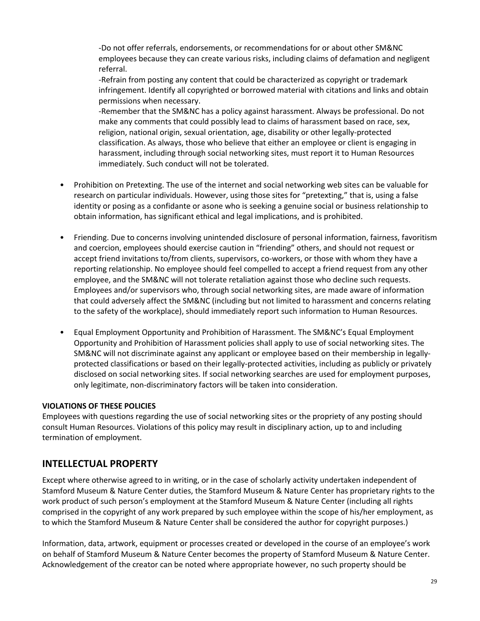-Do not offer referrals, endorsements, or recommendations for or about other SM&NC employees because they can create various risks, including claims of defamation and negligent referral.

-Refrain from posting any content that could be characterized as copyright or trademark infringement. Identify all copyrighted or borrowed material with citations and links and obtain permissions when necessary.

-Remember that the SM&NC has a policy against harassment. Always be professional. Do not make any comments that could possibly lead to claims of harassment based on race, sex, religion, national origin, sexual orientation, age, disability or other legally-protected classification. As always, those who believe that either an employee or client is engaging in harassment, including through social networking sites, must report it to Human Resources immediately. Such conduct will not be tolerated.

- Prohibition on Pretexting. The use of the internet and social networking web sites can be valuable for research on particular individuals. However, using those sites for "pretexting," that is, using a false identity or posing as a confidante or asone who is seeking a genuine social or business relationship to obtain information, has significant ethical and legal implications, and is prohibited.
- Friending. Due to concerns involving unintended disclosure of personal information, fairness, favoritism and coercion, employees should exercise caution in "friending" others, and should not request or accept friend invitations to/from clients, supervisors, co-workers, or those with whom they have a reporting relationship. No employee should feel compelled to accept a friend request from any other employee, and the SM&NC will not tolerate retaliation against those who decline such requests. Employees and/or supervisors who, through social networking sites, are made aware of information that could adversely affect the SM&NC (including but not limited to harassment and concerns relating to the safety of the workplace), should immediately report such information to Human Resources.
- Equal Employment Opportunity and Prohibition of Harassment. The SM&NC's Equal Employment Opportunity and Prohibition of Harassment policies shall apply to use of social networking sites. The SM&NC will not discriminate against any applicant or employee based on their membership in legallyprotected classifications or based on their legally-protected activities, including as publicly or privately disclosed on social networking sites. If social networking searches are used for employment purposes, only legitimate, non-discriminatory factors will be taken into consideration.

### **VIOLATIONS OF THESE POLICIES**

Employees with questions regarding the use of social networking sites or the propriety of any posting should consult Human Resources. Violations of this policy may result in disciplinary action, up to and including termination of employment.

### **INTELLECTUAL PROPERTY**

Except where otherwise agreed to in writing, or in the case of scholarly activity undertaken independent of Stamford Museum & Nature Center duties, the Stamford Museum & Nature Center has proprietary rights to the work product of such person's employment at the Stamford Museum & Nature Center (including all rights comprised in the copyright of any work prepared by such employee within the scope of his/her employment, as to which the Stamford Museum & Nature Center shall be considered the author for copyright purposes.)

Information, data, artwork, equipment or processes created or developed in the course of an employee's work on behalf of Stamford Museum & Nature Center becomes the property of Stamford Museum & Nature Center. Acknowledgement of the creator can be noted where appropriate however, no such property should be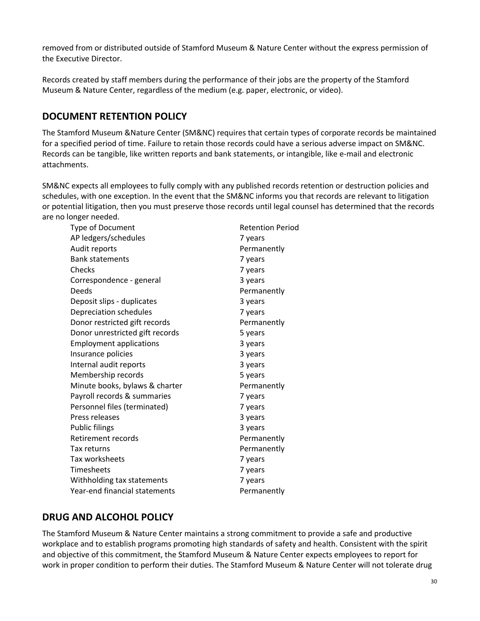removed from or distributed outside of Stamford Museum & Nature Center without the express permission of the Executive Director.

Records created by staff members during the performance of their jobs are the property of the Stamford Museum & Nature Center, regardless of the medium (e.g. paper, electronic, or video).

# **DOCUMENT RETENTION POLICY**

The Stamford Museum &Nature Center (SM&NC) requires that certain types of corporate records be maintained for a specified period of time. Failure to retain those records could have a serious adverse impact on SM&NC. Records can be tangible, like written reports and bank statements, or intangible, like e-mail and electronic attachments.

SM&NC expects all employees to fully comply with any published records retention or destruction policies and schedules, with one exception. In the event that the SM&NC informs you that records are relevant to litigation or potential litigation, then you must preserve those records until legal counsel has determined that the records are no longer needed.

| <b>Type of Document</b>         | <b>Retention Period</b> |
|---------------------------------|-------------------------|
| AP ledgers/schedules            | 7 years                 |
| Audit reports                   | Permanently             |
| <b>Bank statements</b>          | 7 years                 |
| Checks                          | 7 years                 |
| Correspondence - general        | 3 years                 |
| Deeds                           | Permanently             |
| Deposit slips - duplicates      | 3 years                 |
| Depreciation schedules          | 7 years                 |
| Donor restricted gift records   | Permanently             |
| Donor unrestricted gift records | 5 years                 |
| <b>Employment applications</b>  | 3 years                 |
| Insurance policies              | 3 years                 |
| Internal audit reports          | 3 years                 |
| Membership records              | 5 years                 |
| Minute books, bylaws & charter  | Permanently             |
| Payroll records & summaries     | 7 years                 |
| Personnel files (terminated)    | 7 years                 |
| Press releases                  | 3 years                 |
| <b>Public filings</b>           | 3 years                 |
| Retirement records              | Permanently             |
| Tax returns                     | Permanently             |
| Tax worksheets                  | 7 years                 |
| Timesheets                      | 7 years                 |
| Withholding tax statements      | 7 years                 |
| Year-end financial statements   | Permanently             |

# **DRUG AND ALCOHOL POLICY**

The Stamford Museum & Nature Center maintains a strong commitment to provide a safe and productive workplace and to establish programs promoting high standards of safety and health. Consistent with the spirit and objective of this commitment, the Stamford Museum & Nature Center expects employees to report for work in proper condition to perform their duties. The Stamford Museum & Nature Center will not tolerate drug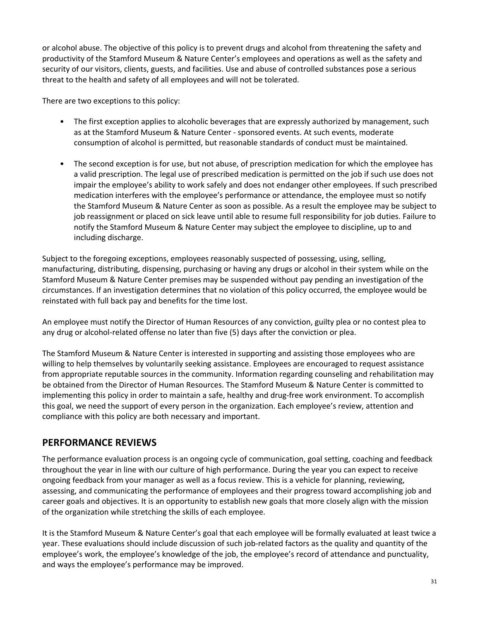or alcohol abuse. The objective of this policy is to prevent drugs and alcohol from threatening the safety and productivity of the Stamford Museum & Nature Center's employees and operations as well as the safety and security of our visitors, clients, guests, and facilities. Use and abuse of controlled substances pose a serious threat to the health and safety of all employees and will not be tolerated.

There are two exceptions to this policy:

- The first exception applies to alcoholic beverages that are expressly authorized by management, such as at the Stamford Museum & Nature Center - sponsored events. At such events, moderate consumption of alcohol is permitted, but reasonable standards of conduct must be maintained.
- The second exception is for use, but not abuse, of prescription medication for which the employee has a valid prescription. The legal use of prescribed medication is permitted on the job if such use does not impair the employee's ability to work safely and does not endanger other employees. If such prescribed medication interferes with the employee's performance or attendance, the employee must so notify the Stamford Museum & Nature Center as soon as possible. As a result the employee may be subject to job reassignment or placed on sick leave until able to resume full responsibility for job duties. Failure to notify the Stamford Museum & Nature Center may subject the employee to discipline, up to and including discharge.

Subject to the foregoing exceptions, employees reasonably suspected of possessing, using, selling, manufacturing, distributing, dispensing, purchasing or having any drugs or alcohol in their system while on the Stamford Museum & Nature Center premises may be suspended without pay pending an investigation of the circumstances. If an investigation determines that no violation of this policy occurred, the employee would be reinstated with full back pay and benefits for the time lost.

An employee must notify the Director of Human Resources of any conviction, guilty plea or no contest plea to any drug or alcohol-related offense no later than five (5) days after the conviction or plea.

The Stamford Museum & Nature Center is interested in supporting and assisting those employees who are willing to help themselves by voluntarily seeking assistance. Employees are encouraged to request assistance from appropriate reputable sources in the community. Information regarding counseling and rehabilitation may be obtained from the Director of Human Resources. The Stamford Museum & Nature Center is committed to implementing this policy in order to maintain a safe, healthy and drug-free work environment. To accomplish this goal, we need the support of every person in the organization. Each employee's review, attention and compliance with this policy are both necessary and important.

### **PERFORMANCE REVIEWS**

The performance evaluation process is an ongoing cycle of communication, goal setting, coaching and feedback throughout the year in line with our culture of high performance. During the year you can expect to receive ongoing feedback from your manager as well as a focus review. This is a vehicle for planning, reviewing, assessing, and communicating the performance of employees and their progress toward accomplishing job and career goals and objectives. It is an opportunity to establish new goals that more closely align with the mission of the organization while stretching the skills of each employee.

It is the Stamford Museum & Nature Center's goal that each employee will be formally evaluated at least twice a year. These evaluations should include discussion of such job-related factors as the quality and quantity of the employee's work, the employee's knowledge of the job, the employee's record of attendance and punctuality, and ways the employee's performance may be improved.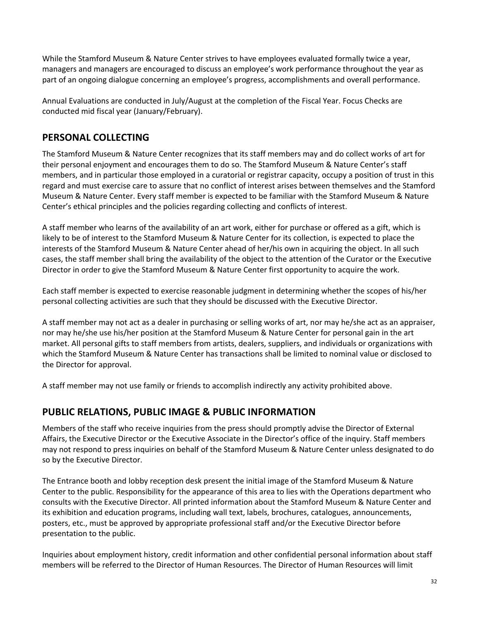While the Stamford Museum & Nature Center strives to have employees evaluated formally twice a year, managers and managers are encouraged to discuss an employee's work performance throughout the year as part of an ongoing dialogue concerning an employee's progress, accomplishments and overall performance.

Annual Evaluations are conducted in July/August at the completion of the Fiscal Year. Focus Checks are conducted mid fiscal year (January/February).

# **PERSONAL COLLECTING**

The Stamford Museum & Nature Center recognizes that its staff members may and do collect works of art for their personal enjoyment and encourages them to do so. The Stamford Museum & Nature Center's staff members, and in particular those employed in a curatorial or registrar capacity, occupy a position of trust in this regard and must exercise care to assure that no conflict of interest arises between themselves and the Stamford Museum & Nature Center. Every staff member is expected to be familiar with the Stamford Museum & Nature Center's ethical principles and the policies regarding collecting and conflicts of interest.

A staff member who learns of the availability of an art work, either for purchase or offered as a gift, which is likely to be of interest to the Stamford Museum & Nature Center for its collection, is expected to place the interests of the Stamford Museum & Nature Center ahead of her/his own in acquiring the object. In all such cases, the staff member shall bring the availability of the object to the attention of the Curator or the Executive Director in order to give the Stamford Museum & Nature Center first opportunity to acquire the work.

Each staff member is expected to exercise reasonable judgment in determining whether the scopes of his/her personal collecting activities are such that they should be discussed with the Executive Director.

A staff member may not act as a dealer in purchasing or selling works of art, nor may he/she act as an appraiser, nor may he/she use his/her position at the Stamford Museum & Nature Center for personal gain in the art market. All personal gifts to staff members from artists, dealers, suppliers, and individuals or organizations with which the Stamford Museum & Nature Center has transactions shall be limited to nominal value or disclosed to the Director for approval.

A staff member may not use family or friends to accomplish indirectly any activity prohibited above.

### **PUBLIC RELATIONS, PUBLIC IMAGE & PUBLIC INFORMATION**

Members of the staff who receive inquiries from the press should promptly advise the Director of External Affairs, the Executive Director or the Executive Associate in the Director's office of the inquiry. Staff members may not respond to press inquiries on behalf of the Stamford Museum & Nature Center unless designated to do so by the Executive Director.

The Entrance booth and lobby reception desk present the initial image of the Stamford Museum & Nature Center to the public. Responsibility for the appearance of this area to lies with the Operations department who consults with the Executive Director. All printed information about the Stamford Museum & Nature Center and its exhibition and education programs, including wall text, labels, brochures, catalogues, announcements, posters, etc., must be approved by appropriate professional staff and/or the Executive Director before presentation to the public.

Inquiries about employment history, credit information and other confidential personal information about staff members will be referred to the Director of Human Resources. The Director of Human Resources will limit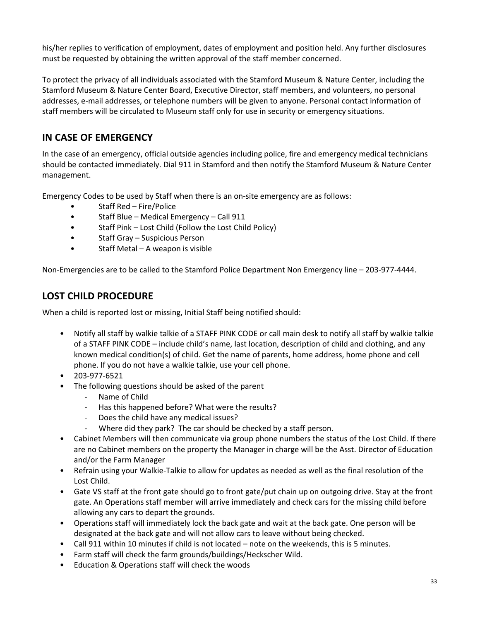his/her replies to verification of employment, dates of employment and position held. Any further disclosures must be requested by obtaining the written approval of the staff member concerned.

To protect the privacy of all individuals associated with the Stamford Museum & Nature Center, including the Stamford Museum & Nature Center Board, Executive Director, staff members, and volunteers, no personal addresses, e-mail addresses, or telephone numbers will be given to anyone. Personal contact information of staff members will be circulated to Museum staff only for use in security or emergency situations.

# **IN CASE OF EMERGENCY**

In the case of an emergency, official outside agencies including police, fire and emergency medical technicians should be contacted immediately. Dial 911 in Stamford and then notify the Stamford Museum & Nature Center management.

Emergency Codes to be used by Staff when there is an on-site emergency are as follows:

- Staff Red Fire/Police
- Staff Blue Medical Emergency Call 911
- Staff Pink Lost Child (Follow the Lost Child Policy)
- Staff Gray Suspicious Person
- Staff Metal A weapon is visible

Non-Emergencies are to be called to the Stamford Police Department Non Emergency line – 203-977-4444.

# **LOST CHILD PROCEDURE**

When a child is reported lost or missing, Initial Staff being notified should:

- Notify all staff by walkie talkie of a STAFF PINK CODE or call main desk to notify all staff by walkie talkie of a STAFF PINK CODE – include child's name, last location, description of child and clothing, and any known medical condition(s) of child. Get the name of parents, home address, home phone and cell phone. If you do not have a walkie talkie, use your cell phone.
- 203-977-6521
- The following questions should be asked of the parent
	- Name of Child
	- Has this happened before? What were the results?
	- Does the child have any medical issues?
	- Where did they park? The car should be checked by a staff person.
- Cabinet Members will then communicate via group phone numbers the status of the Lost Child. If there are no Cabinet members on the property the Manager in charge will be the Asst. Director of Education and/or the Farm Manager
- Refrain using your Walkie-Talkie to allow for updates as needed as well as the final resolution of the Lost Child.
- Gate VS staff at the front gate should go to front gate/put chain up on outgoing drive. Stay at the front gate. An Operations staff member will arrive immediately and check cars for the missing child before allowing any cars to depart the grounds.
- Operations staff will immediately lock the back gate and wait at the back gate. One person will be designated at the back gate and will not allow cars to leave without being checked.
- Call 911 within 10 minutes if child is not located note on the weekends, this is 5 minutes.
- Farm staff will check the farm grounds/buildings/Heckscher Wild.
- Education & Operations staff will check the woods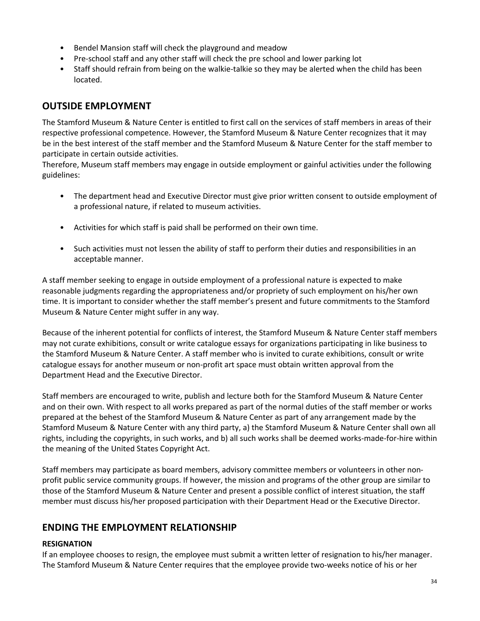- Bendel Mansion staff will check the playground and meadow
- Pre-school staff and any other staff will check the pre school and lower parking lot
- Staff should refrain from being on the walkie-talkie so they may be alerted when the child has been located.

# **OUTSIDE EMPLOYMENT**

The Stamford Museum & Nature Center is entitled to first call on the services of staff members in areas of their respective professional competence. However, the Stamford Museum & Nature Center recognizes that it may be in the best interest of the staff member and the Stamford Museum & Nature Center for the staff member to participate in certain outside activities.

Therefore, Museum staff members may engage in outside employment or gainful activities under the following guidelines:

- The department head and Executive Director must give prior written consent to outside employment of a professional nature, if related to museum activities.
- Activities for which staff is paid shall be performed on their own time.
- Such activities must not lessen the ability of staff to perform their duties and responsibilities in an acceptable manner.

A staff member seeking to engage in outside employment of a professional nature is expected to make reasonable judgments regarding the appropriateness and/or propriety of such employment on his/her own time. It is important to consider whether the staff member's present and future commitments to the Stamford Museum & Nature Center might suffer in any way.

Because of the inherent potential for conflicts of interest, the Stamford Museum & Nature Center staff members may not curate exhibitions, consult or write catalogue essays for organizations participating in like business to the Stamford Museum & Nature Center. A staff member who is invited to curate exhibitions, consult or write catalogue essays for another museum or non-profit art space must obtain written approval from the Department Head and the Executive Director.

Staff members are encouraged to write, publish and lecture both for the Stamford Museum & Nature Center and on their own. With respect to all works prepared as part of the normal duties of the staff member or works prepared at the behest of the Stamford Museum & Nature Center as part of any arrangement made by the Stamford Museum & Nature Center with any third party, a) the Stamford Museum & Nature Center shall own all rights, including the copyrights, in such works, and b) all such works shall be deemed works-made-for-hire within the meaning of the United States Copyright Act.

Staff members may participate as board members, advisory committee members or volunteers in other nonprofit public service community groups. If however, the mission and programs of the other group are similar to those of the Stamford Museum & Nature Center and present a possible conflict of interest situation, the staff member must discuss his/her proposed participation with their Department Head or the Executive Director.

### **ENDING THE EMPLOYMENT RELATIONSHIP**

### **RESIGNATION**

If an employee chooses to resign, the employee must submit a written letter of resignation to his/her manager. The Stamford Museum & Nature Center requires that the employee provide two-weeks notice of his or her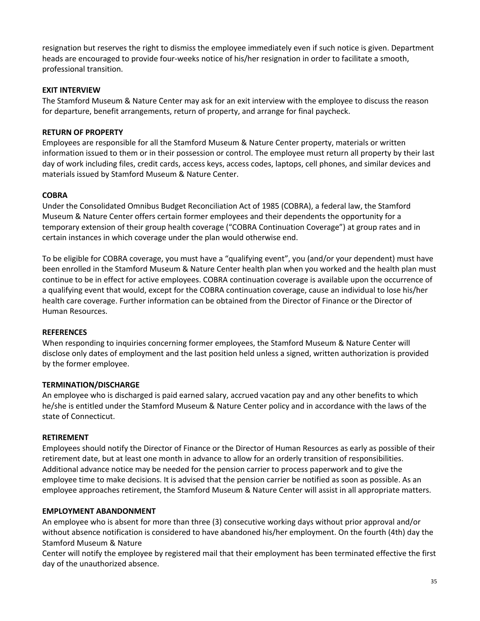resignation but reserves the right to dismiss the employee immediately even if such notice is given. Department heads are encouraged to provide four-weeks notice of his/her resignation in order to facilitate a smooth, professional transition.

### **EXIT INTERVIEW**

The Stamford Museum & Nature Center may ask for an exit interview with the employee to discuss the reason for departure, benefit arrangements, return of property, and arrange for final paycheck.

#### **RETURN OF PROPERTY**

Employees are responsible for all the Stamford Museum & Nature Center property, materials or written information issued to them or in their possession or control. The employee must return all property by their last day of work including files, credit cards, access keys, access codes, laptops, cell phones, and similar devices and materials issued by Stamford Museum & Nature Center.

#### **COBRA**

Under the Consolidated Omnibus Budget Reconciliation Act of 1985 (COBRA), a federal law, the Stamford Museum & Nature Center offers certain former employees and their dependents the opportunity for a temporary extension of their group health coverage ("COBRA Continuation Coverage") at group rates and in certain instances in which coverage under the plan would otherwise end.

To be eligible for COBRA coverage, you must have a "qualifying event", you (and/or your dependent) must have been enrolled in the Stamford Museum & Nature Center health plan when you worked and the health plan must continue to be in effect for active employees. COBRA continuation coverage is available upon the occurrence of a qualifying event that would, except for the COBRA continuation coverage, cause an individual to lose his/her health care coverage. Further information can be obtained from the Director of Finance or the Director of Human Resources.

#### **REFERENCES**

When responding to inquiries concerning former employees, the Stamford Museum & Nature Center will disclose only dates of employment and the last position held unless a signed, written authorization is provided by the former employee.

#### **TERMINATION/DISCHARGE**

An employee who is discharged is paid earned salary, accrued vacation pay and any other benefits to which he/she is entitled under the Stamford Museum & Nature Center policy and in accordance with the laws of the state of Connecticut.

#### **RETIREMENT**

Employees should notify the Director of Finance or the Director of Human Resources as early as possible of their retirement date, but at least one month in advance to allow for an orderly transition of responsibilities. Additional advance notice may be needed for the pension carrier to process paperwork and to give the employee time to make decisions. It is advised that the pension carrier be notified as soon as possible. As an employee approaches retirement, the Stamford Museum & Nature Center will assist in all appropriate matters.

#### **EMPLOYMENT ABANDONMENT**

An employee who is absent for more than three (3) consecutive working days without prior approval and/or without absence notification is considered to have abandoned his/her employment. On the fourth (4th) day the Stamford Museum & Nature

Center will notify the employee by registered mail that their employment has been terminated effective the first day of the unauthorized absence.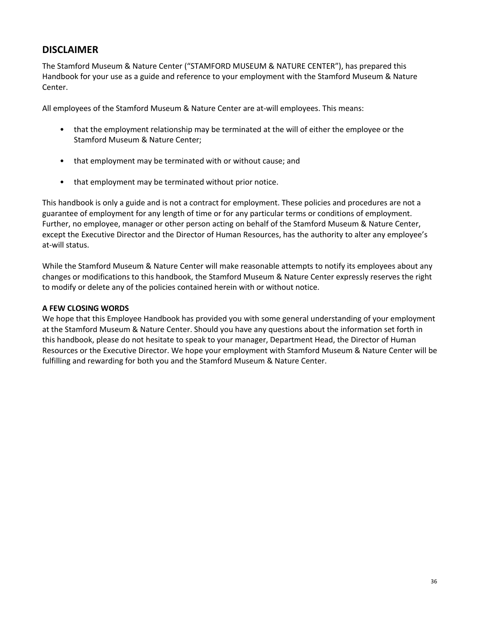### **DISCLAIMER**

The Stamford Museum & Nature Center ("STAMFORD MUSEUM & NATURE CENTER"), has prepared this Handbook for your use as a guide and reference to your employment with the Stamford Museum & Nature Center.

All employees of the Stamford Museum & Nature Center are at-will employees. This means:

- that the employment relationship may be terminated at the will of either the employee or the Stamford Museum & Nature Center;
- that employment may be terminated with or without cause; and
- that employment may be terminated without prior notice.

This handbook is only a guide and is not a contract for employment. These policies and procedures are not a guarantee of employment for any length of time or for any particular terms or conditions of employment. Further, no employee, manager or other person acting on behalf of the Stamford Museum & Nature Center, except the Executive Director and the Director of Human Resources, has the authority to alter any employee's at-will status.

While the Stamford Museum & Nature Center will make reasonable attempts to notify its employees about any changes or modifications to this handbook, the Stamford Museum & Nature Center expressly reserves the right to modify or delete any of the policies contained herein with or without notice.

### **A FEW CLOSING WORDS**

We hope that this Employee Handbook has provided you with some general understanding of your employment at the Stamford Museum & Nature Center. Should you have any questions about the information set forth in this handbook, please do not hesitate to speak to your manager, Department Head, the Director of Human Resources or the Executive Director. We hope your employment with Stamford Museum & Nature Center will be fulfilling and rewarding for both you and the Stamford Museum & Nature Center.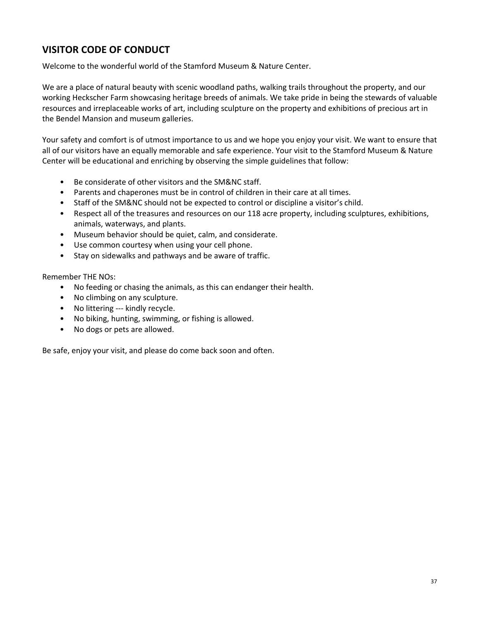# **VISITOR CODE OF CONDUCT**

Welcome to the wonderful world of the Stamford Museum & Nature Center.

We are a place of natural beauty with scenic woodland paths, walking trails throughout the property, and our working Heckscher Farm showcasing heritage breeds of animals. We take pride in being the stewards of valuable resources and irreplaceable works of art, including sculpture on the property and exhibitions of precious art in the Bendel Mansion and museum galleries.

Your safety and comfort is of utmost importance to us and we hope you enjoy your visit. We want to ensure that all of our visitors have an equally memorable and safe experience. Your visit to the Stamford Museum & Nature Center will be educational and enriching by observing the simple guidelines that follow:

- Be considerate of other visitors and the SM&NC staff.
- Parents and chaperones must be in control of children in their care at all times.
- Staff of the SM&NC should not be expected to control or discipline a visitor's child.
- Respect all of the treasures and resources on our 118 acre property, including sculptures, exhibitions, animals, waterways, and plants.
- Museum behavior should be quiet, calm, and considerate.
- Use common courtesy when using your cell phone.
- Stay on sidewalks and pathways and be aware of traffic.

Remember THE NOs:

- No feeding or chasing the animals, as this can endanger their health.
- No climbing on any sculpture.
- No littering --- kindly recycle.
- No biking, hunting, swimming, or fishing is allowed.
- No dogs or pets are allowed.

Be safe, enjoy your visit, and please do come back soon and often.